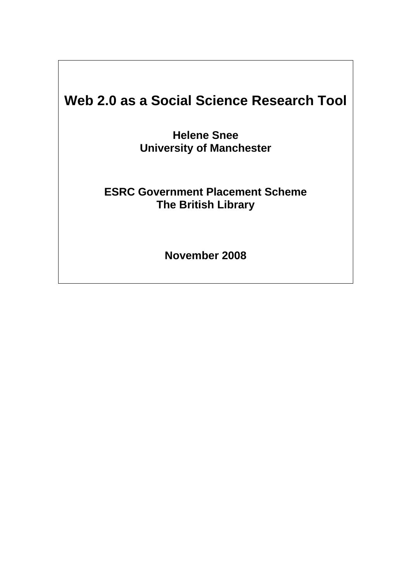# **Web 2.0 as a Social Science Research Tool**

**Helene Snee University of Manchester** 

# **ESRC Government Placement Scheme The British Library**

**November 2008**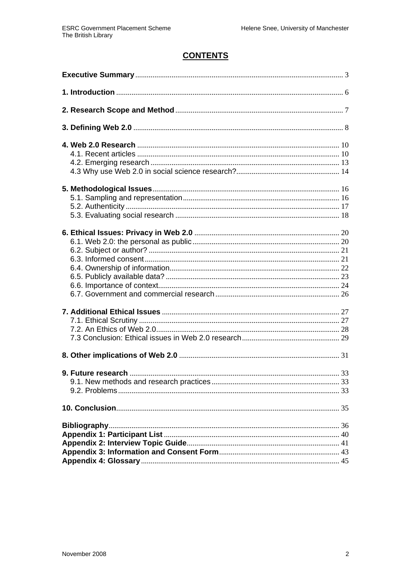# **CONTENTS**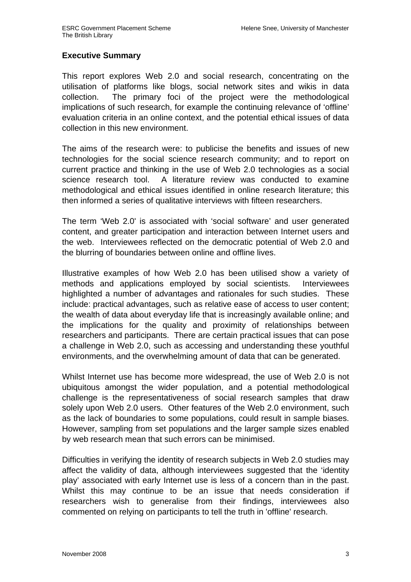#### **Executive Summary**

This report explores Web 2.0 and social research, concentrating on the utilisation of platforms like blogs, social network sites and wikis in data collection. The primary foci of the project were the methodological implications of such research, for example the continuing relevance of 'offline' evaluation criteria in an online context, and the potential ethical issues of data collection in this new environment.

The aims of the research were: to publicise the benefits and issues of new technologies for the social science research community; and to report on current practice and thinking in the use of Web 2.0 technologies as a social science research tool. A literature review was conducted to examine methodological and ethical issues identified in online research literature; this then informed a series of qualitative interviews with fifteen researchers.

The term 'Web 2.0' is associated with 'social software' and user generated content, and greater participation and interaction between Internet users and the web. Interviewees reflected on the democratic potential of Web 2.0 and the blurring of boundaries between online and offline lives.

Illustrative examples of how Web 2.0 has been utilised show a variety of methods and applications employed by social scientists. Interviewees highlighted a number of advantages and rationales for such studies. These include: practical advantages, such as relative ease of access to user content; the wealth of data about everyday life that is increasingly available online; and the implications for the quality and proximity of relationships between researchers and participants. There are certain practical issues that can pose a challenge in Web 2.0, such as accessing and understanding these youthful environments, and the overwhelming amount of data that can be generated.

Whilst Internet use has become more widespread, the use of Web 2.0 is not ubiquitous amongst the wider population, and a potential methodological challenge is the representativeness of social research samples that draw solely upon Web 2.0 users. Other features of the Web 2.0 environment, such as the lack of boundaries to some populations, could result in sample biases. However, sampling from set populations and the larger sample sizes enabled by web research mean that such errors can be minimised.

Difficulties in verifying the identity of research subjects in Web 2.0 studies may affect the validity of data, although interviewees suggested that the 'identity play' associated with early Internet use is less of a concern than in the past. Whilst this may continue to be an issue that needs consideration if researchers wish to generalise from their findings, interviewees also commented on relying on participants to tell the truth in 'offline' research.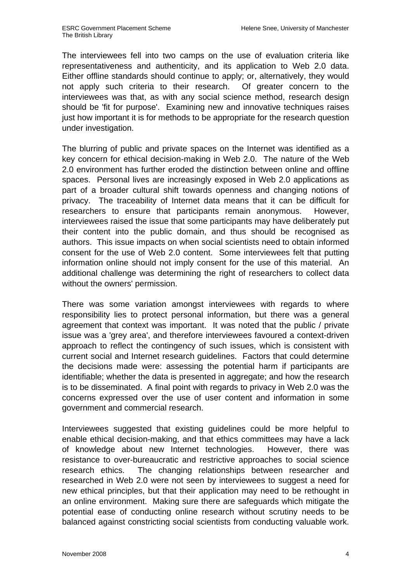The interviewees fell into two camps on the use of evaluation criteria like representativeness and authenticity, and its application to Web 2.0 data. Either offline standards should continue to apply; or, alternatively, they would not apply such criteria to their research. Of greater concern to the interviewees was that, as with any social science method, research design should be 'fit for purpose'. Examining new and innovative techniques raises just how important it is for methods to be appropriate for the research question under investigation.

The blurring of public and private spaces on the Internet was identified as a key concern for ethical decision-making in Web 2.0. The nature of the Web 2.0 environment has further eroded the distinction between online and offline spaces. Personal lives are increasingly exposed in Web 2.0 applications as part of a broader cultural shift towards openness and changing notions of privacy. The traceability of Internet data means that it can be difficult for researchers to ensure that participants remain anonymous. However, interviewees raised the issue that some participants may have deliberately put their content into the public domain, and thus should be recognised as authors. This issue impacts on when social scientists need to obtain informed consent for the use of Web 2.0 content. Some interviewees felt that putting information online should not imply consent for the use of this material. An additional challenge was determining the right of researchers to collect data without the owners' permission.

There was some variation amongst interviewees with regards to where responsibility lies to protect personal information, but there was a general agreement that context was important. It was noted that the public / private issue was a 'grey area', and therefore interviewees favoured a context-driven approach to reflect the contingency of such issues, which is consistent with current social and Internet research guidelines. Factors that could determine the decisions made were: assessing the potential harm if participants are identifiable; whether the data is presented in aggregate; and how the research is to be disseminated. A final point with regards to privacy in Web 2.0 was the concerns expressed over the use of user content and information in some government and commercial research.

Interviewees suggested that existing guidelines could be more helpful to enable ethical decision-making, and that ethics committees may have a lack of knowledge about new Internet technologies. However, there was resistance to over-bureaucratic and restrictive approaches to social science research ethics. The changing relationships between researcher and researched in Web 2.0 were not seen by interviewees to suggest a need for new ethical principles, but that their application may need to be rethought in an online environment. Making sure there are safeguards which mitigate the potential ease of conducting online research without scrutiny needs to be balanced against constricting social scientists from conducting valuable work.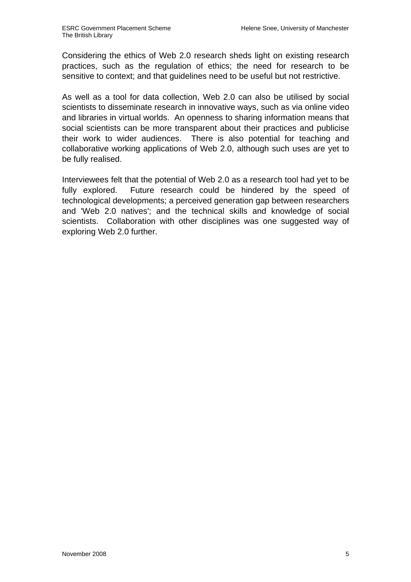Considering the ethics of Web 2.0 research sheds light on existing research practices, such as the regulation of ethics; the need for research to be sensitive to context; and that guidelines need to be useful but not restrictive.

As well as a tool for data collection, Web 2.0 can also be utilised by social scientists to disseminate research in innovative ways, such as via online video and libraries in virtual worlds. An openness to sharing information means that social scientists can be more transparent about their practices and publicise their work to wider audiences. There is also potential for teaching and collaborative working applications of Web 2.0, although such uses are yet to be fully realised.

Interviewees felt that the potential of Web 2.0 as a research tool had yet to be fully explored. Future research could be hindered by the speed of technological developments; a perceived generation gap between researchers and 'Web 2.0 natives'; and the technical skills and knowledge of social scientists. Collaboration with other disciplines was one suggested way of exploring Web 2.0 further.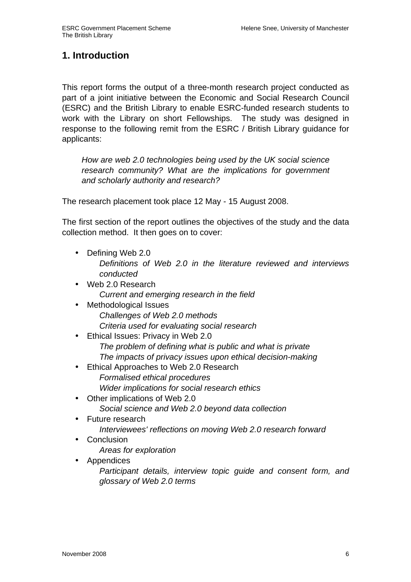# **1. Introduction**

This report forms the output of a three-month research project conducted as part of a joint initiative between the Economic and Social Research Council (ESRC) and the British Library to enable ESRC-funded research students to work with the Library on short Fellowships. The study was designed in response to the following remit from the ESRC / British Library guidance for applicants:

How are web 2.0 technologies being used by the UK social science research community? What are the implications for government and scholarly authority and research?

The research placement took place 12 May - 15 August 2008.

The first section of the report outlines the objectives of the study and the data collection method. It then goes on to cover:

- Defining Web 2.0 Definitions of Web 2.0 in the literature reviewed and interviews conducted
- Web 2.0 Research Current and emerging research in the field
- Methodological Issues Challenges of Web 2.0 methods Criteria used for evaluating social research
- Ethical Issues: Privacy in Web 2.0 The problem of defining what is public and what is private The impacts of privacy issues upon ethical decision-making
- Ethical Approaches to Web 2.0 Research Formalised ethical procedures Wider implications for social research ethics
- Other implications of Web 2.0 Social science and Web 2.0 beyond data collection
- Future research Interviewees' reflections on moving Web 2.0 research forward
- **Conclusion** 
	- Areas for exploration
- Appendices

Participant details, interview topic guide and consent form, and glossary of Web 2.0 terms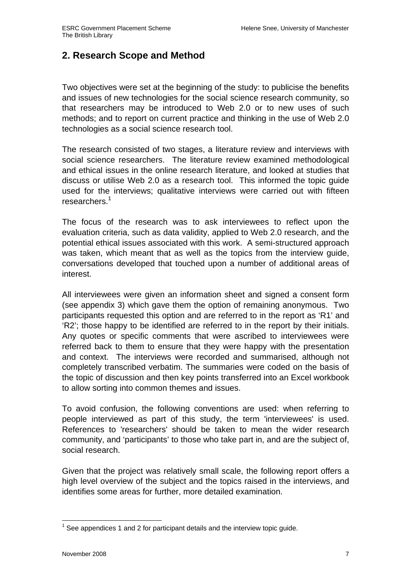# **2. Research Scope and Method**

Two objectives were set at the beginning of the study: to publicise the benefits and issues of new technologies for the social science research community, so that researchers may be introduced to Web 2.0 or to new uses of such methods; and to report on current practice and thinking in the use of Web 2.0 technologies as a social science research tool.

The research consisted of two stages, a literature review and interviews with social science researchers. The literature review examined methodological and ethical issues in the online research literature, and looked at studies that discuss or utilise Web 2.0 as a research tool. This informed the topic guide used for the interviews; qualitative interviews were carried out with fifteen researchers.<sup>1</sup>

The focus of the research was to ask interviewees to reflect upon the evaluation criteria, such as data validity, applied to Web 2.0 research, and the potential ethical issues associated with this work. A semi-structured approach was taken, which meant that as well as the topics from the interview guide, conversations developed that touched upon a number of additional areas of interest.

All interviewees were given an information sheet and signed a consent form (see appendix 3) which gave them the option of remaining anonymous. Two participants requested this option and are referred to in the report as 'R1' and 'R2'; those happy to be identified are referred to in the report by their initials. Any quotes or specific comments that were ascribed to interviewees were referred back to them to ensure that they were happy with the presentation and context. The interviews were recorded and summarised, although not completely transcribed verbatim. The summaries were coded on the basis of the topic of discussion and then key points transferred into an Excel workbook to allow sorting into common themes and issues.

To avoid confusion, the following conventions are used: when referring to people interviewed as part of this study, the term 'interviewees' is used. References to 'researchers' should be taken to mean the wider research community, and 'participants' to those who take part in, and are the subject of, social research.

Given that the project was relatively small scale, the following report offers a high level overview of the subject and the topics raised in the interviews, and identifies some areas for further, more detailed examination.

 $\overline{\phantom{a}}$  $1$  See appendices 1 and 2 for participant details and the interview topic guide.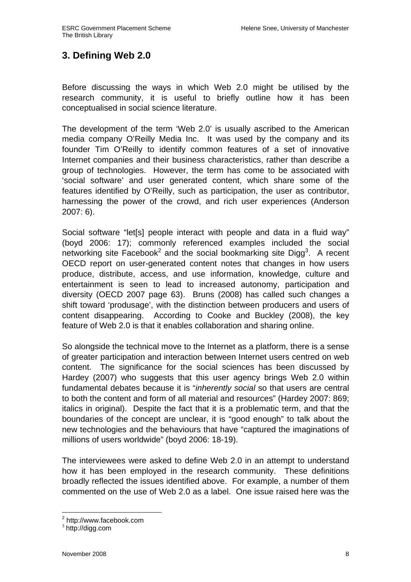# **3. Defining Web 2.0**

Before discussing the ways in which Web 2.0 might be utilised by the research community, it is useful to briefly outline how it has been conceptualised in social science literature.

The development of the term 'Web 2.0' is usually ascribed to the American media company O'Reilly Media Inc. It was used by the company and its founder Tim O'Reilly to identify common features of a set of innovative Internet companies and their business characteristics, rather than describe a group of technologies. However, the term has come to be associated with 'social software' and user generated content, which share some of the features identified by O'Reilly, such as participation, the user as contributor, harnessing the power of the crowd, and rich user experiences (Anderson 2007: 6).

Social software "letesil people interact with people and data in a fluid way" (boyd 2006: 17); commonly referenced examples included the social networking site Facebook<sup>2</sup> and the social bookmarking site Digg<sup>3</sup>. A recent OECD report on user-generated content notes that changes in how users produce, distribute, access, and use information, knowledge, culture and entertainment is seen to lead to increased autonomy, participation and diversity (OECD 2007 page 63). Bruns (2008) has called such changes a shift toward 'produsage', with the distinction between producers and users of content disappearing. According to Cooke and Buckley (2008), the key feature of Web 2.0 is that it enables collaboration and sharing online.

So alongside the technical move to the Internet as a platform, there is a sense of greater participation and interaction between Internet users centred on web content. The significance for the social sciences has been discussed by Hardey (2007) who suggests that this user agency brings Web 2.0 within fundamental debates because it is "inherently social so that users are central to both the content and form of all material and resources" (Hardey 2007: 869; italics in original). Despite the fact that it is a problematic term, and that the boundaries of the concept are unclear, it is "good enough" to talk about the new technologies and the behaviours that have "captured the imaginations of millions of users worldwide" (boyd 2006: 18-19).

The interviewees were asked to define Web 2.0 in an attempt to understand how it has been employed in the research community. These definitions broadly reflected the issues identified above. For example, a number of them commented on the use of Web 2.0 as a label. One issue raised here was the

 2 http://www.facebook.com

<sup>&</sup>lt;sup>3</sup> http://digg.com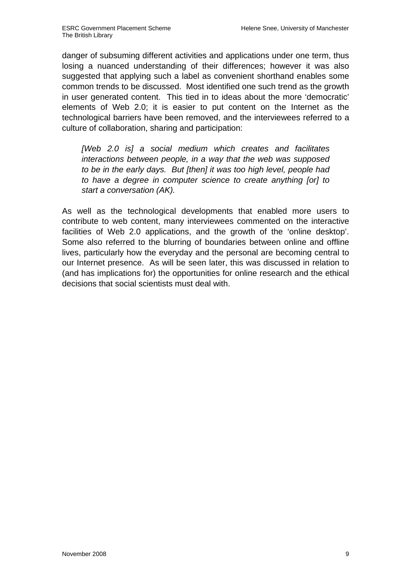danger of subsuming different activities and applications under one term, thus losing a nuanced understanding of their differences; however it was also suggested that applying such a label as convenient shorthand enables some common trends to be discussed. Most identified one such trend as the growth in user generated content. This tied in to ideas about the more 'democratic' elements of Web 2.0; it is easier to put content on the Internet as the technological barriers have been removed, and the interviewees referred to a culture of collaboration, sharing and participation:

[Web 2.0 is] a social medium which creates and facilitates interactions between people, in a way that the web was supposed to be in the early days. But [then] it was too high level, people had to have a degree in computer science to create anything [or] to start a conversation (AK).

As well as the technological developments that enabled more users to contribute to web content, many interviewees commented on the interactive facilities of Web 2.0 applications, and the growth of the 'online desktop'. Some also referred to the blurring of boundaries between online and offline lives, particularly how the everyday and the personal are becoming central to our Internet presence. As will be seen later, this was discussed in relation to (and has implications for) the opportunities for online research and the ethical decisions that social scientists must deal with.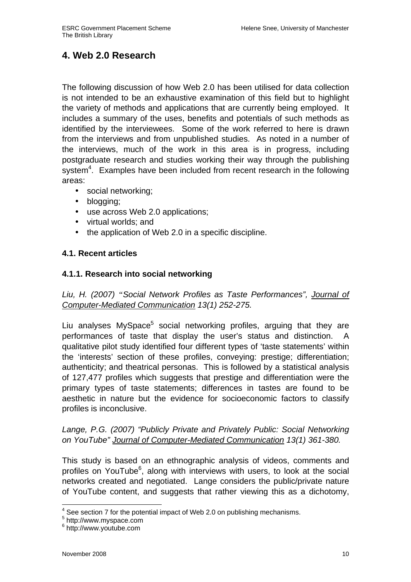# **4. Web 2.0 Research**

The following discussion of how Web 2.0 has been utilised for data collection is not intended to be an exhaustive examination of this field but to highlight the variety of methods and applications that are currently being employed. It includes a summary of the uses, benefits and potentials of such methods as identified by the interviewees. Some of the work referred to here is drawn from the interviews and from unpublished studies. As noted in a number of the interviews, much of the work in this area is in progress, including postgraduate research and studies working their way through the publishing system $4$ . Examples have been included from recent research in the following areas:

- social networking;
- blogging;
- use across Web 2.0 applications;
- virtual worlds; and
- the application of Web 2.0 in a specific discipline.

## **4.1. Recent articles**

## **4.1.1. Research into social networking**

Liu, H. (2007) *"*Social Network Profiles as Taste Performances", Journal of Computer-Mediated Communication 13(1) 252-275.

Liu analyses MySpace<sup>5</sup> social networking profiles, arguing that they are performances of taste that display the user's status and distinction. A qualitative pilot study identified four different types of 'taste statements' within the 'interests' section of these profiles, conveying: prestige; differentiation; authenticity; and theatrical personas. This is followed by a statistical analysis of 127,477 profiles which suggests that prestige and differentiation were the primary types of taste statements; differences in tastes are found to be aesthetic in nature but the evidence for socioeconomic factors to classify profiles is inconclusive.

Lange, P.G. (2007) "Publicly Private and Privately Public: Social Networking on YouTube" Journal of Computer-Mediated Communication 13(1) 361-380.

This study is based on an ethnographic analysis of videos, comments and profiles on YouTube<sup>6</sup>, along with interviews with users, to look at the social networks created and negotiated. Lange considers the public/private nature of YouTube content, and suggests that rather viewing this as a dichotomy,

 4 See section 7 for the potential impact of Web 2.0 on publishing mechanisms.

<sup>5</sup> http://www.myspace.com

<sup>6</sup> http://www.youtube.com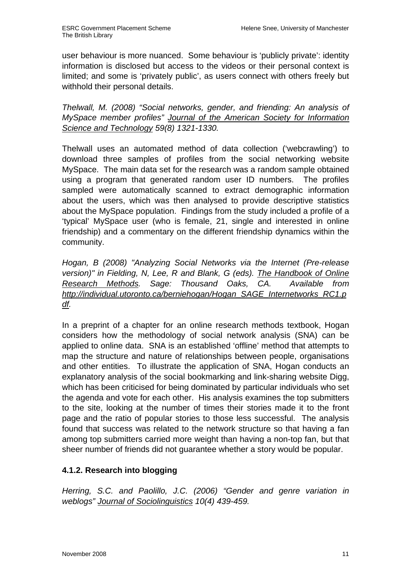user behaviour is more nuanced. Some behaviour is 'publicly private': identity information is disclosed but access to the videos or their personal context is limited; and some is 'privately public', as users connect with others freely but withhold their personal details.

Thelwall, M. (2008) "Social networks, gender, and friending: An analysis of MySpace member profiles" Journal of the American Society for Information Science and Technology 59(8) 1321-1330.

Thelwall uses an automated method of data collection ('webcrawling') to download three samples of profiles from the social networking website MySpace. The main data set for the research was a random sample obtained using a program that generated random user ID numbers. The profiles sampled were automatically scanned to extract demographic information about the users, which was then analysed to provide descriptive statistics about the MySpace population. Findings from the study included a profile of a 'typical' MySpace user (who is female, 21, single and interested in online friendship) and a commentary on the different friendship dynamics within the community.

Hogan, B (2008) "Analyzing Social Networks via the Internet (Pre-release version)" in Fielding, N, Lee, R and Blank, G (eds). The Handbook of Online Research Methods. Sage: Thousand Oaks, CA. Available from http://individual.utoronto.ca/berniehogan/Hogan\_SAGE\_Internetworks\_RC1.p df.

In a preprint of a chapter for an online research methods textbook, Hogan considers how the methodology of social network analysis (SNA) can be applied to online data. SNA is an established 'offline' method that attempts to map the structure and nature of relationships between people, organisations and other entities. To illustrate the application of SNA, Hogan conducts an explanatory analysis of the social bookmarking and link-sharing website Digg, which has been criticised for being dominated by particular individuals who set the agenda and vote for each other. His analysis examines the top submitters to the site, looking at the number of times their stories made it to the front page and the ratio of popular stories to those less successful. The analysis found that success was related to the network structure so that having a fan among top submitters carried more weight than having a non-top fan, but that sheer number of friends did not guarantee whether a story would be popular.

# **4.1.2. Research into blogging**

Herring, S.C. and Paolillo, J.C. (2006) "Gender and genre variation in weblogs" Journal of Sociolinguistics 10(4) 439-459.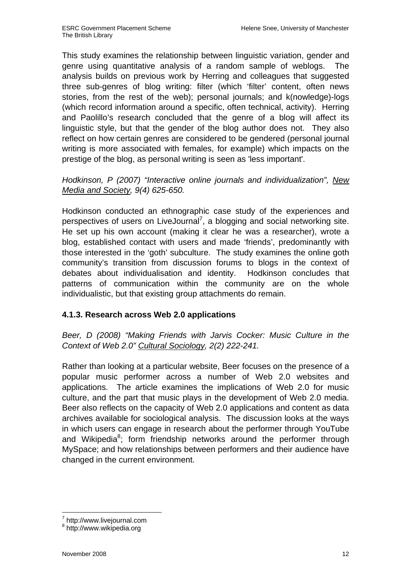This study examines the relationship between linguistic variation, gender and genre using quantitative analysis of a random sample of weblogs. The analysis builds on previous work by Herring and colleagues that suggested three sub-genres of blog writing: filter (which 'filter' content, often news stories, from the rest of the web); personal journals; and k(nowledge)-logs (which record information around a specific, often technical, activity). Herring and Paolillo's research concluded that the genre of a blog will affect its linguistic style, but that the gender of the blog author does not. They also reflect on how certain genres are considered to be gendered (personal journal writing is more associated with females, for example) which impacts on the prestige of the blog, as personal writing is seen as 'less important'.

# Hodkinson, P (2007) "Interactive online journals and individualization", New Media and Society, 9(4) 625-650.

Hodkinson conducted an ethnographic case study of the experiences and perspectives of users on LiveJournal<sup>7</sup>, a blogging and social networking site. He set up his own account (making it clear he was a researcher), wrote a blog, established contact with users and made 'friends', predominantly with those interested in the 'goth' subculture. The study examines the online goth community's transition from discussion forums to blogs in the context of debates about individualisation and identity. Hodkinson concludes that patterns of communication within the community are on the whole individualistic, but that existing group attachments do remain.

# **4.1.3. Research across Web 2.0 applications**

Beer, D (2008) "Making Friends with Jarvis Cocker: Music Culture in the Context of Web 2.0" Cultural Sociology, 2(2) 222-241.

Rather than looking at a particular website, Beer focuses on the presence of a popular music performer across a number of Web 2.0 websites and applications. The article examines the implications of Web 2.0 for music culture, and the part that music plays in the development of Web 2.0 media. Beer also reflects on the capacity of Web 2.0 applications and content as data archives available for sociological analysis. The discussion looks at the ways in which users can engage in research about the performer through YouTube and Wikipedia<sup>8</sup>; form friendship networks around the performer through MySpace; and how relationships between performers and their audience have changed in the current environment.

 $\overline{a}$  $^7$  http://www.livejournal.com

<sup>8</sup> http://www.wikipedia.org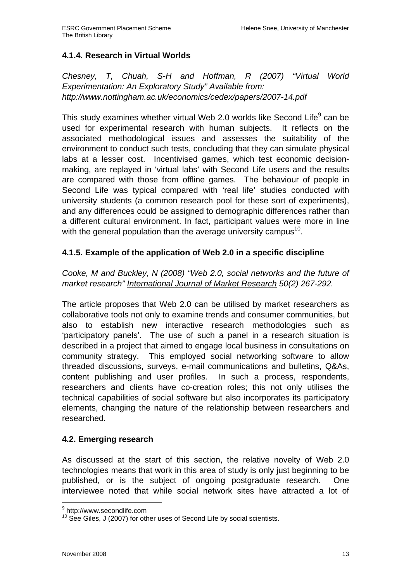# **4.1.4. Research in Virtual Worlds**

Chesney, T, Chuah, S-H and Hoffman, R (2007) "Virtual World Experimentation: An Exploratory Study" Available from: http://www.nottingham.ac.uk/economics/cedex/papers/2007-14.pdf

This study examines whether virtual Web 2.0 worlds like Second Life $^9$  can be used for experimental research with human subjects. It reflects on the associated methodological issues and assesses the suitability of the environment to conduct such tests, concluding that they can simulate physical labs at a lesser cost. Incentivised games, which test economic decisionmaking, are replayed in 'virtual labs' with Second Life users and the results are compared with those from offline games. The behaviour of people in Second Life was typical compared with 'real life' studies conducted with university students (a common research pool for these sort of experiments), and any differences could be assigned to demographic differences rather than a different cultural environment. In fact, participant values were more in line with the general population than the average university campus<sup>10</sup>.

# **4.1.5. Example of the application of Web 2.0 in a specific discipline**

Cooke, M and Buckley, N (2008) "Web 2.0, social networks and the future of market research" International Journal of Market Research 50(2) 267-292.

The article proposes that Web 2.0 can be utilised by market researchers as collaborative tools not only to examine trends and consumer communities, but also to establish new interactive research methodologies such as 'participatory panels'. The use of such a panel in a research situation is described in a project that aimed to engage local business in consultations on community strategy. This employed social networking software to allow threaded discussions, surveys, e-mail communications and bulletins, Q&As, content publishing and user profiles. In such a process, respondents, researchers and clients have co-creation roles; this not only utilises the technical capabilities of social software but also incorporates its participatory elements, changing the nature of the relationship between researchers and researched.

## **4.2. Emerging research**

As discussed at the start of this section, the relative novelty of Web 2.0 technologies means that work in this area of study is only just beginning to be published, or is the subject of ongoing postgraduate research. One interviewee noted that while social network sites have attracted a lot of

 9 http://www.secondlife.com

 $10$  See Giles, J (2007) for other uses of Second Life by social scientists.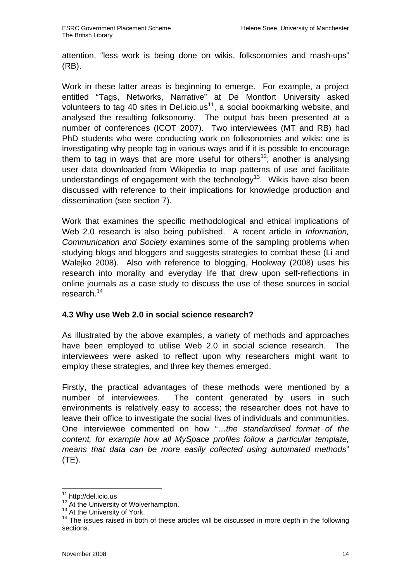attention, "less work is being done on wikis, folksonomies and mash-ups" (RB).

Work in these latter areas is beginning to emerge. For example, a project entitled "Tags, Networks, Narrative" at De Montfort University asked volunteers to tag 40 sites in Del.icio.us<sup>11</sup>, a social bookmarking website, and analysed the resulting folksonomy. The output has been presented at a number of conferences (ICOT 2007). Two interviewees (MT and RB) had PhD students who were conducting work on folksonomies and wikis: one is investigating why people tag in various ways and if it is possible to encourage them to tag in ways that are more useful for others<sup>12</sup>; another is analysing user data downloaded from Wikipedia to map patterns of use and facilitate understandings of engagement with the technology<sup>13</sup>. Wikis have also been discussed with reference to their implications for knowledge production and dissemination (see section 7).

Work that examines the specific methodological and ethical implications of Web 2.0 research is also being published. A recent article in *Information*, Communication and Society examines some of the sampling problems when studying blogs and bloggers and suggests strategies to combat these (Li and Walejko 2008). Also with reference to blogging, Hookway (2008) uses his research into morality and everyday life that drew upon self-reflections in online journals as a case study to discuss the use of these sources in social research.<sup>14</sup>

## **4.3 Why use Web 2.0 in social science research?**

As illustrated by the above examples, a variety of methods and approaches have been employed to utilise Web 2.0 in social science research. The interviewees were asked to reflect upon why researchers might want to employ these strategies, and three key themes emerged.

Firstly, the practical advantages of these methods were mentioned by a number of interviewees. The content generated by users in such environments is relatively easy to access; the researcher does not have to leave their office to investigate the social lives of individuals and communities. One interviewee commented on how "…the standardised format of the content, for example how all MySpace profiles follow a particular template, means that data can be more easily collected using automated methods" (TE).

 $\overline{a}$  $11$  http://del.icio.us

<sup>&</sup>lt;sup>12</sup> At the University of Wolverhampton.

<sup>&</sup>lt;sup>13</sup> At the University of York.

 $14$  The issues raised in both of these articles will be discussed in more depth in the following sections.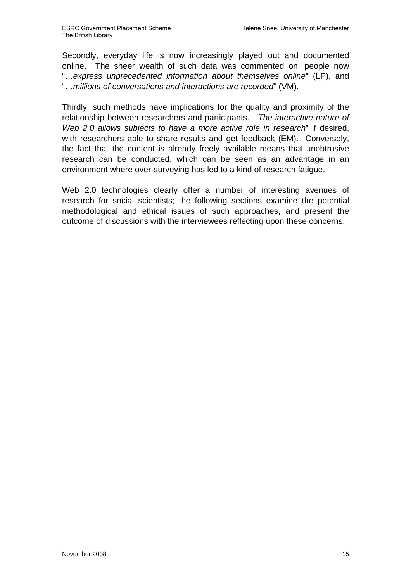Secondly, everyday life is now increasingly played out and documented online. The sheer wealth of such data was commented on: people now "…express unprecedented information about themselves online" (LP), and "…millions of conversations and interactions are recorded" (VM).

Thirdly, such methods have implications for the quality and proximity of the relationship between researchers and participants. "The interactive nature of Web 2.0 allows subjects to have a more active role in research" if desired, with researchers able to share results and get feedback (EM). Conversely, the fact that the content is already freely available means that unobtrusive research can be conducted, which can be seen as an advantage in an environment where over-surveying has led to a kind of research fatigue.

Web 2.0 technologies clearly offer a number of interesting avenues of research for social scientists; the following sections examine the potential methodological and ethical issues of such approaches, and present the outcome of discussions with the interviewees reflecting upon these concerns.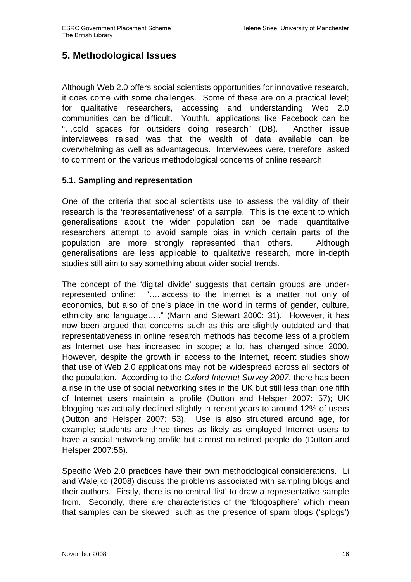# **5. Methodological Issues**

Although Web 2.0 offers social scientists opportunities for innovative research, it does come with some challenges. Some of these are on a practical level; for qualitative researchers, accessing and understanding Web 2.0 communities can be difficult. Youthful applications like Facebook can be "…cold spaces for outsiders doing research" (DB). Another issue interviewees raised was that the wealth of data available can be overwhelming as well as advantageous. Interviewees were, therefore, asked to comment on the various methodological concerns of online research.

## **5.1. Sampling and representation**

One of the criteria that social scientists use to assess the validity of their research is the 'representativeness' of a sample. This is the extent to which generalisations about the wider population can be made; quantitative researchers attempt to avoid sample bias in which certain parts of the population are more strongly represented than others. Although generalisations are less applicable to qualitative research, more in-depth studies still aim to say something about wider social trends.

The concept of the 'digital divide' suggests that certain groups are underrepresented online: "…..access to the Internet is a matter not only of economics, but also of one's place in the world in terms of gender, culture, ethnicity and language….." (Mann and Stewart 2000: 31). However, it has now been argued that concerns such as this are slightly outdated and that representativeness in online research methods has become less of a problem as Internet use has increased in scope; a lot has changed since 2000. However, despite the growth in access to the Internet, recent studies show that use of Web 2.0 applications may not be widespread across all sectors of the population. According to the Oxford Internet Survey 2007, there has been a rise in the use of social networking sites in the UK but still less than one fifth of Internet users maintain a profile (Dutton and Helsper 2007: 57); UK blogging has actually declined slightly in recent years to around 12% of users (Dutton and Helsper 2007: 53). Use is also structured around age, for example; students are three times as likely as employed Internet users to have a social networking profile but almost no retired people do (Dutton and Helsper 2007:56).

Specific Web 2.0 practices have their own methodological considerations. Li and Walejko (2008) discuss the problems associated with sampling blogs and their authors. Firstly, there is no central 'list' to draw a representative sample from. Secondly, there are characteristics of the 'blogosphere' which mean that samples can be skewed, such as the presence of spam blogs ('splogs')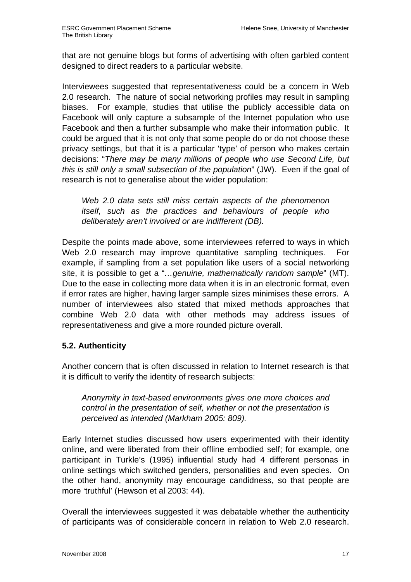that are not genuine blogs but forms of advertising with often garbled content designed to direct readers to a particular website.

Interviewees suggested that representativeness could be a concern in Web 2.0 research. The nature of social networking profiles may result in sampling biases. For example, studies that utilise the publicly accessible data on Facebook will only capture a subsample of the Internet population who use Facebook and then a further subsample who make their information public. It could be argued that it is not only that some people do or do not choose these privacy settings, but that it is a particular 'type' of person who makes certain decisions: "There may be many millions of people who use Second Life, but this is still only a small subsection of the population" (JW). Even if the goal of research is not to generalise about the wider population:

Web 2.0 data sets still miss certain aspects of the phenomenon itself, such as the practices and behaviours of people who deliberately aren't involved or are indifferent (DB).

Despite the points made above, some interviewees referred to ways in which Web 2.0 research may improve quantitative sampling techniques. For example, if sampling from a set population like users of a social networking site, it is possible to get a "...genuine, mathematically random sample" (MT). Due to the ease in collecting more data when it is in an electronic format, even if error rates are higher, having larger sample sizes minimises these errors. A number of interviewees also stated that mixed methods approaches that combine Web 2.0 data with other methods may address issues of representativeness and give a more rounded picture overall.

# **5.2. Authenticity**

Another concern that is often discussed in relation to Internet research is that it is difficult to verify the identity of research subjects:

Anonymity in text-based environments gives one more choices and control in the presentation of self, whether or not the presentation is perceived as intended (Markham 2005: 809).

Early Internet studies discussed how users experimented with their identity online, and were liberated from their offline embodied self; for example, one participant in Turkle's (1995) influential study had 4 different personas in online settings which switched genders, personalities and even species. On the other hand, anonymity may encourage candidness, so that people are more 'truthful' (Hewson et al 2003: 44).

Overall the interviewees suggested it was debatable whether the authenticity of participants was of considerable concern in relation to Web 2.0 research.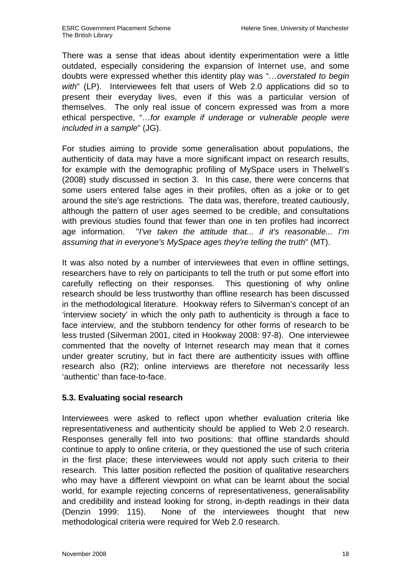There was a sense that ideas about identity experimentation were a little outdated, especially considering the expansion of Internet use, and some doubts were expressed whether this identity play was "…overstated to begin with" (LP). Interviewees felt that users of Web 2.0 applications did so to present their everyday lives, even if this was a particular version of themselves. The only real issue of concern expressed was from a more ethical perspective, "…for example if underage or vulnerable people were included in a sample" (JG).

For studies aiming to provide some generalisation about populations, the authenticity of data may have a more significant impact on research results, for example with the demographic profiling of MySpace users in Thelwell's (2008) study discussed in section 3. In this case, there were concerns that some users entered false ages in their profiles, often as a joke or to get around the site's age restrictions. The data was, therefore, treated cautiously, although the pattern of user ages seemed to be credible, and consultations with previous studies found that fewer than one in ten profiles had incorrect age information. "I've taken the attitude that... if it's reasonable... I'm assuming that in everyone's MySpace ages they're telling the truth" (MT).

It was also noted by a number of interviewees that even in offline settings, researchers have to rely on participants to tell the truth or put some effort into carefully reflecting on their responses. This questioning of why online research should be less trustworthy than offline research has been discussed in the methodological literature. Hookway refers to Silverman's concept of an 'interview society' in which the only path to authenticity is through a face to face interview, and the stubborn tendency for other forms of research to be less trusted (Silverman 2001, cited in Hookway 2008: 97-8). One interviewee commented that the novelty of Internet research may mean that it comes under greater scrutiny, but in fact there are authenticity issues with offline research also (R2); online interviews are therefore not necessarily less 'authentic' than face-to-face.

# **5.3. Evaluating social research**

Interviewees were asked to reflect upon whether evaluation criteria like representativeness and authenticity should be applied to Web 2.0 research. Responses generally fell into two positions: that offline standards should continue to apply to online criteria, or they questioned the use of such criteria in the first place; these interviewees would not apply such criteria to their research. This latter position reflected the position of qualitative researchers who may have a different viewpoint on what can be learnt about the social world, for example rejecting concerns of representativeness, generalisability and credibility and instead looking for strong, in-depth readings in their data (Denzin 1999: 115). None of the interviewees thought that new methodological criteria were required for Web 2.0 research.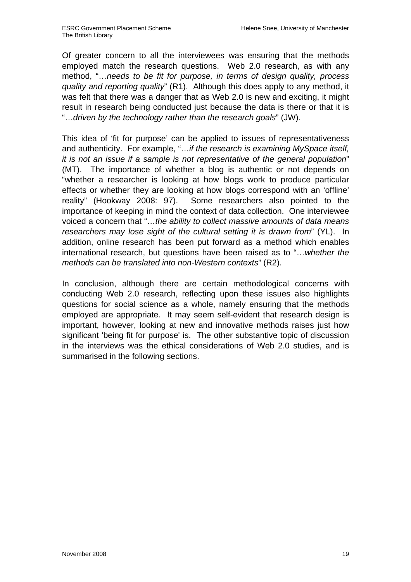Of greater concern to all the interviewees was ensuring that the methods employed match the research questions. Web 2.0 research, as with any method, "…needs to be fit for purpose, in terms of design quality, process quality and reporting quality" (R1). Although this does apply to any method, it was felt that there was a danger that as Web 2.0 is new and exciting, it might result in research being conducted just because the data is there or that it is "…driven by the technology rather than the research goals" (JW).

This idea of 'fit for purpose' can be applied to issues of representativeness and authenticity. For example, "...if the research is examining MySpace itself, it is not an issue if a sample is not representative of the general population" (MT). The importance of whether a blog is authentic or not depends on "whether a researcher is looking at how blogs work to produce particular effects or whether they are looking at how blogs correspond with an 'offline' reality" (Hookway 2008: 97). Some researchers also pointed to the importance of keeping in mind the context of data collection. One interviewee voiced a concern that "…the ability to collect massive amounts of data means researchers may lose sight of the cultural setting it is drawn from" (YL). In addition, online research has been put forward as a method which enables international research, but questions have been raised as to "…whether the methods can be translated into non-Western contexts" (R2).

In conclusion, although there are certain methodological concerns with conducting Web 2.0 research, reflecting upon these issues also highlights questions for social science as a whole, namely ensuring that the methods employed are appropriate. It may seem self-evident that research design is important, however, looking at new and innovative methods raises just how significant 'being fit for purpose' is. The other substantive topic of discussion in the interviews was the ethical considerations of Web 2.0 studies, and is summarised in the following sections.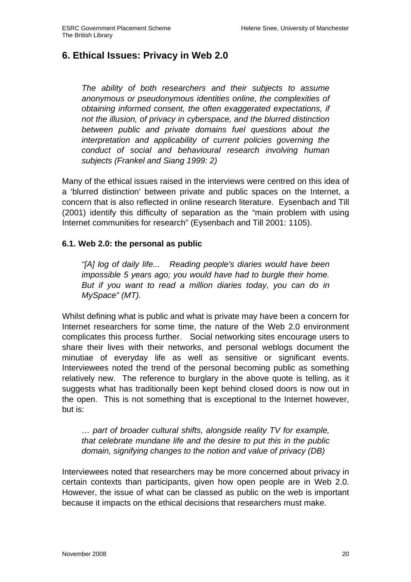# **6. Ethical Issues: Privacy in Web 2.0**

The ability of both researchers and their subjects to assume anonymous or pseudonymous identities online, the complexities of obtaining informed consent, the often exaggerated expectations, if not the illusion, of privacy in cyberspace, and the blurred distinction between public and private domains fuel questions about the interpretation and applicability of current policies governing the conduct of social and behavioural research involving human subjects (Frankel and Siang 1999: 2)

Many of the ethical issues raised in the interviews were centred on this idea of a 'blurred distinction' between private and public spaces on the Internet, a concern that is also reflected in online research literature. Eysenbach and Till (2001) identify this difficulty of separation as the "main problem with using Internet communities for research" (Eysenbach and Till 2001: 1105).

## **6.1. Web 2.0: the personal as public**

"[A] log of daily life... Reading people's diaries would have been impossible 5 years ago; you would have had to burgle their home. But if you want to read a million diaries today, you can do in MySpace" (MT).

Whilst defining what is public and what is private may have been a concern for Internet researchers for some time, the nature of the Web 2.0 environment complicates this process further. Social networking sites encourage users to share their lives with their networks, and personal weblogs document the minutiae of everyday life as well as sensitive or significant events. Interviewees noted the trend of the personal becoming public as something relatively new. The reference to burglary in the above quote is telling, as it suggests what has traditionally been kept behind closed doors is now out in the open. This is not something that is exceptional to the Internet however, but is:

… part of broader cultural shifts, alongside reality TV for example, that celebrate mundane life and the desire to put this in the public domain, signifying changes to the notion and value of privacy (DB)

Interviewees noted that researchers may be more concerned about privacy in certain contexts than participants, given how open people are in Web 2.0. However, the issue of what can be classed as public on the web is important because it impacts on the ethical decisions that researchers must make.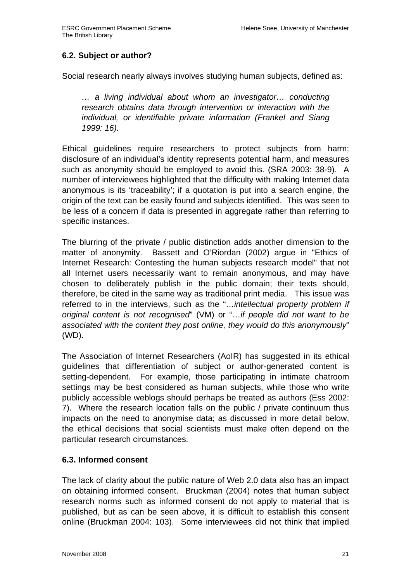# **6.2. Subject or author?**

Social research nearly always involves studying human subjects, defined as:

… a living individual about whom an investigator… conducting research obtains data through intervention or interaction with the individual, or identifiable private information (Frankel and Siang 1999: 16).

Ethical guidelines require researchers to protect subjects from harm; disclosure of an individual's identity represents potential harm, and measures such as anonymity should be employed to avoid this. (SRA 2003: 38-9). A number of interviewees highlighted that the difficulty with making Internet data anonymous is its 'traceability'; if a quotation is put into a search engine, the origin of the text can be easily found and subjects identified. This was seen to be less of a concern if data is presented in aggregate rather than referring to specific instances.

The blurring of the private / public distinction adds another dimension to the matter of anonymity. Bassett and O'Riordan (2002) argue in "Ethics of Internet Research: Contesting the human subjects research model" that not all Internet users necessarily want to remain anonymous, and may have chosen to deliberately publish in the public domain; their texts should, therefore, be cited in the same way as traditional print media. This issue was referred to in the interviews, such as the "...intellectual property problem if original content is not recognised" (VM) or "…if people did not want to be associated with the content they post online, they would do this anonymously" (WD).

The Association of Internet Researchers (AoIR) has suggested in its ethical guidelines that differentiation of subject or author-generated content is setting-dependent. For example, those participating in intimate chatroom settings may be best considered as human subjects, while those who write publicly accessible weblogs should perhaps be treated as authors (Ess 2002: 7). Where the research location falls on the public / private continuum thus impacts on the need to anonymise data; as discussed in more detail below, the ethical decisions that social scientists must make often depend on the particular research circumstances.

# **6.3. Informed consent**

The lack of clarity about the public nature of Web 2.0 data also has an impact on obtaining informed consent. Bruckman (2004) notes that human subject research norms such as informed consent do not apply to material that is published, but as can be seen above, it is difficult to establish this consent online (Bruckman 2004: 103). Some interviewees did not think that implied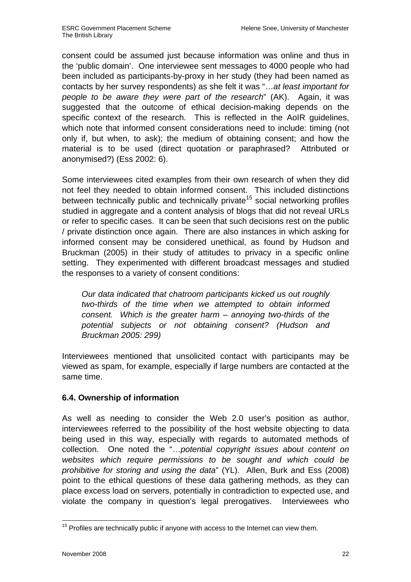consent could be assumed just because information was online and thus in the 'public domain'. One interviewee sent messages to 4000 people who had been included as participants-by-proxy in her study (they had been named as contacts by her survey respondents) as she felt it was "…at least important for people to be aware they were part of the research" (AK). Again, it was suggested that the outcome of ethical decision-making depends on the specific context of the research. This is reflected in the AoIR guidelines, which note that informed consent considerations need to include: timing (not only if, but when, to ask); the medium of obtaining consent; and how the material is to be used (direct quotation or paraphrased? Attributed or anonymised?) (Ess 2002: 6).

Some interviewees cited examples from their own research of when they did not feel they needed to obtain informed consent. This included distinctions between technically public and technically private<sup>15</sup> social networking profiles studied in aggregate and a content analysis of blogs that did not reveal URLs or refer to specific cases. It can be seen that such decisions rest on the public / private distinction once again. There are also instances in which asking for informed consent may be considered unethical, as found by Hudson and Bruckman (2005) in their study of attitudes to privacy in a specific online setting. They experimented with different broadcast messages and studied the responses to a variety of consent conditions:

Our data indicated that chatroom participants kicked us out roughly two-thirds of the time when we attempted to obtain informed consent. Which is the greater harm – annoying two-thirds of the potential subjects or not obtaining consent? (Hudson and Bruckman 2005: 299)

Interviewees mentioned that unsolicited contact with participants may be viewed as spam, for example, especially if large numbers are contacted at the same time.

# **6.4. Ownership of information**

As well as needing to consider the Web 2.0 user's position as author, interviewees referred to the possibility of the host website objecting to data being used in this way, especially with regards to automated methods of collection. One noted the "…potential copyright issues about content on websites which require permissions to be sought and which could be prohibitive for storing and using the data" (YL). Allen, Burk and Ess (2008) point to the ethical questions of these data gathering methods, as they can place excess load on servers, potentially in contradiction to expected use, and violate the company in question's legal prerogatives. Interviewees who

 $\overline{\phantom{a}}$  $15$  Profiles are technically public if anyone with access to the Internet can view them.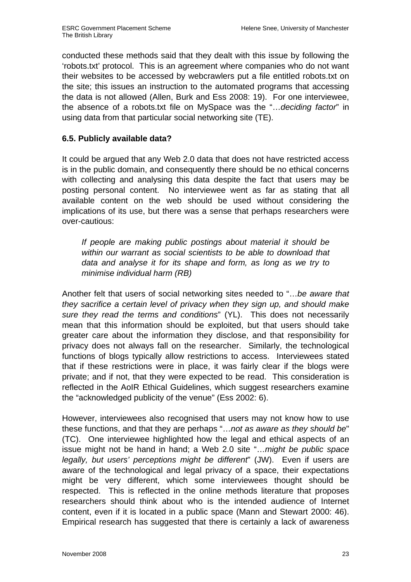conducted these methods said that they dealt with this issue by following the 'robots.txt' protocol. This is an agreement where companies who do not want their websites to be accessed by webcrawlers put a file entitled robots.txt on the site; this issues an instruction to the automated programs that accessing the data is not allowed (Allen, Burk and Ess 2008: 19). For one interviewee, the absence of a robots.txt file on MySpace was the "…deciding factor" in using data from that particular social networking site (TE).

# **6.5. Publicly available data?**

It could be argued that any Web 2.0 data that does not have restricted access is in the public domain, and consequently there should be no ethical concerns with collecting and analysing this data despite the fact that users may be posting personal content. No interviewee went as far as stating that all available content on the web should be used without considering the implications of its use, but there was a sense that perhaps researchers were over-cautious:

If people are making public postings about material it should be within our warrant as social scientists to be able to download that data and analyse it for its shape and form, as long as we try to minimise individual harm (RB)

Another felt that users of social networking sites needed to "…be aware that they sacrifice a certain level of privacy when they sign up, and should make sure they read the terms and conditions" (YL). This does not necessarily mean that this information should be exploited, but that users should take greater care about the information they disclose, and that responsibility for privacy does not always fall on the researcher. Similarly, the technological functions of blogs typically allow restrictions to access. Interviewees stated that if these restrictions were in place, it was fairly clear if the blogs were private; and if not, that they were expected to be read. This consideration is reflected in the AoIR Ethical Guidelines, which suggest researchers examine the "acknowledged publicity of the venue" (Ess 2002: 6).

However, interviewees also recognised that users may not know how to use these functions, and that they are perhaps "...not as aware as they should be" (TC). One interviewee highlighted how the legal and ethical aspects of an issue might not be hand in hand; a Web 2.0 site "…might be public space legally, but users' perceptions might be different" (JW). Even if users are aware of the technological and legal privacy of a space, their expectations might be very different, which some interviewees thought should be respected. This is reflected in the online methods literature that proposes researchers should think about who is the intended audience of Internet content, even if it is located in a public space (Mann and Stewart 2000: 46). Empirical research has suggested that there is certainly a lack of awareness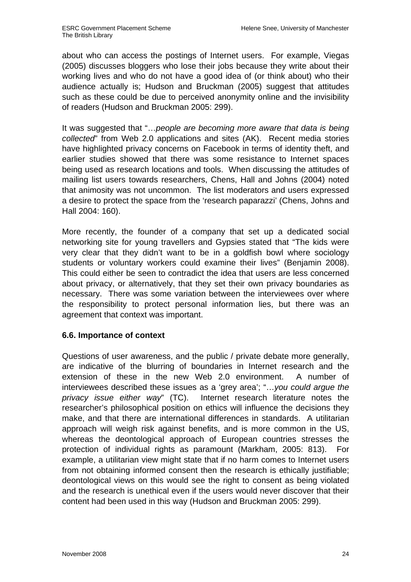about who can access the postings of Internet users. For example, Viegas (2005) discusses bloggers who lose their jobs because they write about their working lives and who do not have a good idea of (or think about) who their audience actually is; Hudson and Bruckman (2005) suggest that attitudes such as these could be due to perceived anonymity online and the invisibility of readers (Hudson and Bruckman 2005: 299).

It was suggested that "...people are becoming more aware that data is being collected" from Web 2.0 applications and sites (AK). Recent media stories have highlighted privacy concerns on Facebook in terms of identity theft, and earlier studies showed that there was some resistance to Internet spaces being used as research locations and tools. When discussing the attitudes of mailing list users towards researchers, Chens, Hall and Johns (2004) noted that animosity was not uncommon. The list moderators and users expressed a desire to protect the space from the 'research paparazzi' (Chens, Johns and Hall 2004: 160).

More recently, the founder of a company that set up a dedicated social networking site for young travellers and Gypsies stated that "The kids were very clear that they didn't want to be in a goldfish bowl where sociology students or voluntary workers could examine their lives" (Benjamin 2008). This could either be seen to contradict the idea that users are less concerned about privacy, or alternatively, that they set their own privacy boundaries as necessary. There was some variation between the interviewees over where the responsibility to protect personal information lies, but there was an agreement that context was important.

# **6.6. Importance of context**

Questions of user awareness, and the public / private debate more generally, are indicative of the blurring of boundaries in Internet research and the extension of these in the new Web 2.0 environment. A number of interviewees described these issues as a 'grey area'; "…you could argue the privacy issue either way" (TC). Internet research literature notes the researcher's philosophical position on ethics will influence the decisions they make, and that there are international differences in standards. A utilitarian approach will weigh risk against benefits, and is more common in the US, whereas the deontological approach of European countries stresses the protection of individual rights as paramount (Markham, 2005: 813). For example, a utilitarian view might state that if no harm comes to Internet users from not obtaining informed consent then the research is ethically justifiable; deontological views on this would see the right to consent as being violated and the research is unethical even if the users would never discover that their content had been used in this way (Hudson and Bruckman 2005: 299).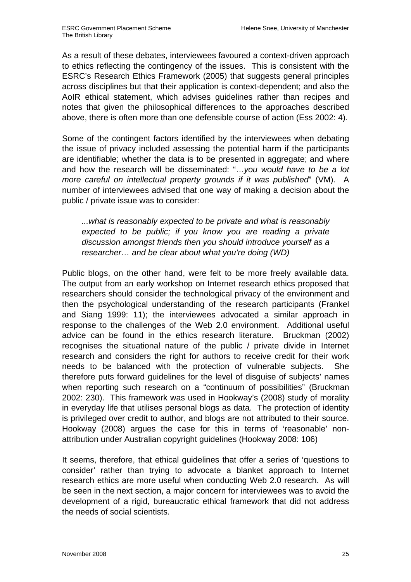As a result of these debates, interviewees favoured a context-driven approach to ethics reflecting the contingency of the issues. This is consistent with the ESRC's Research Ethics Framework (2005) that suggests general principles across disciplines but that their application is context-dependent; and also the AoIR ethical statement, which advises guidelines rather than recipes and notes that given the philosophical differences to the approaches described above, there is often more than one defensible course of action (Ess 2002: 4).

Some of the contingent factors identified by the interviewees when debating the issue of privacy included assessing the potential harm if the participants are identifiable; whether the data is to be presented in aggregate; and where and how the research will be disseminated: "…you would have to be a lot more careful on intellectual property grounds if it was published" (VM). A number of interviewees advised that one way of making a decision about the public / private issue was to consider:

...what is reasonably expected to be private and what is reasonably expected to be public; if you know you are reading a private discussion amongst friends then you should introduce yourself as a researcher… and be clear about what you're doing (WD)

Public blogs, on the other hand, were felt to be more freely available data. The output from an early workshop on Internet research ethics proposed that researchers should consider the technological privacy of the environment and then the psychological understanding of the research participants (Frankel and Siang 1999: 11); the interviewees advocated a similar approach in response to the challenges of the Web 2.0 environment. Additional useful advice can be found in the ethics research literature. Bruckman (2002) recognises the situational nature of the public / private divide in Internet research and considers the right for authors to receive credit for their work needs to be balanced with the protection of vulnerable subjects. She therefore puts forward guidelines for the level of disguise of subjects' names when reporting such research on a "continuum of possibilities" (Bruckman 2002: 230). This framework was used in Hookway's (2008) study of morality in everyday life that utilises personal blogs as data. The protection of identity is privileged over credit to author, and blogs are not attributed to their source. Hookway (2008) argues the case for this in terms of 'reasonable' nonattribution under Australian copyright guidelines (Hookway 2008: 106)

It seems, therefore, that ethical guidelines that offer a series of 'questions to consider' rather than trying to advocate a blanket approach to Internet research ethics are more useful when conducting Web 2.0 research. As will be seen in the next section, a major concern for interviewees was to avoid the development of a rigid, bureaucratic ethical framework that did not address the needs of social scientists.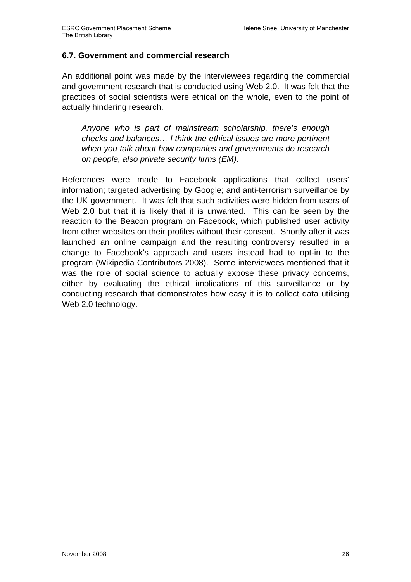## **6.7. Government and commercial research**

An additional point was made by the interviewees regarding the commercial and government research that is conducted using Web 2.0. It was felt that the practices of social scientists were ethical on the whole, even to the point of actually hindering research.

Anyone who is part of mainstream scholarship, there's enough checks and balances… I think the ethical issues are more pertinent when you talk about how companies and governments do research on people, also private security firms (EM).

References were made to Facebook applications that collect users' information; targeted advertising by Google; and anti-terrorism surveillance by the UK government. It was felt that such activities were hidden from users of Web 2.0 but that it is likely that it is unwanted. This can be seen by the reaction to the Beacon program on Facebook, which published user activity from other websites on their profiles without their consent. Shortly after it was launched an online campaign and the resulting controversy resulted in a change to Facebook's approach and users instead had to opt-in to the program (Wikipedia Contributors 2008). Some interviewees mentioned that it was the role of social science to actually expose these privacy concerns, either by evaluating the ethical implications of this surveillance or by conducting research that demonstrates how easy it is to collect data utilising Web 2.0 technology.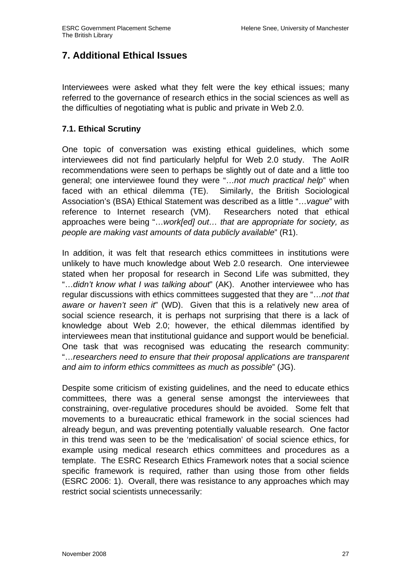# **7. Additional Ethical Issues**

Interviewees were asked what they felt were the key ethical issues; many referred to the governance of research ethics in the social sciences as well as the difficulties of negotiating what is public and private in Web 2.0.

# **7.1. Ethical Scrutiny**

One topic of conversation was existing ethical guidelines, which some interviewees did not find particularly helpful for Web 2.0 study. The AoIR recommendations were seen to perhaps be slightly out of date and a little too general; one interviewee found they were "…not much practical help" when faced with an ethical dilemma (TE). Similarly, the British Sociological Association's (BSA) Ethical Statement was described as a little "…vague" with reference to Internet research (VM). Researchers noted that ethical approaches were being "...work[ed] out... that are appropriate for society, as people are making vast amounts of data publicly available" (R1).

In addition, it was felt that research ethics committees in institutions were unlikely to have much knowledge about Web 2.0 research. One interviewee stated when her proposal for research in Second Life was submitted, they "...didn't know what I was talking about" (AK). Another interviewee who has regular discussions with ethics committees suggested that they are "…not that aware or haven't seen it" (WD). Given that this is a relatively new area of social science research, it is perhaps not surprising that there is a lack of knowledge about Web 2.0; however, the ethical dilemmas identified by interviewees mean that institutional guidance and support would be beneficial. One task that was recognised was educating the research community: "…researchers need to ensure that their proposal applications are transparent and aim to inform ethics committees as much as possible" (JG).

Despite some criticism of existing guidelines, and the need to educate ethics committees, there was a general sense amongst the interviewees that constraining, over-regulative procedures should be avoided. Some felt that movements to a bureaucratic ethical framework in the social sciences had already begun, and was preventing potentially valuable research. One factor in this trend was seen to be the 'medicalisation' of social science ethics, for example using medical research ethics committees and procedures as a template. The ESRC Research Ethics Framework notes that a social science specific framework is required, rather than using those from other fields (ESRC 2006: 1). Overall, there was resistance to any approaches which may restrict social scientists unnecessarily: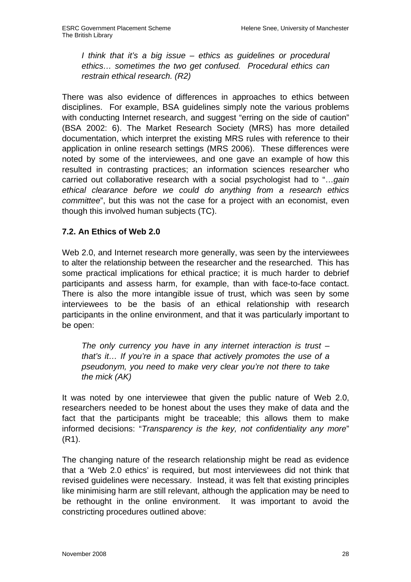I think that it's a big issue – ethics as guidelines or procedural ethics… sometimes the two get confused. Procedural ethics can restrain ethical research. (R2)

There was also evidence of differences in approaches to ethics between disciplines. For example, BSA guidelines simply note the various problems with conducting Internet research, and suggest "erring on the side of caution" (BSA 2002: 6). The Market Research Society (MRS) has more detailed documentation, which interpret the existing MRS rules with reference to their application in online research settings (MRS 2006). These differences were noted by some of the interviewees, and one gave an example of how this resulted in contrasting practices; an information sciences researcher who carried out collaborative research with a social psychologist had to "…gain ethical clearance before we could do anything from a research ethics committee", but this was not the case for a project with an economist, even though this involved human subjects (TC).

# **7.2. An Ethics of Web 2.0**

Web 2.0, and Internet research more generally, was seen by the interviewees to alter the relationship between the researcher and the researched. This has some practical implications for ethical practice; it is much harder to debrief participants and assess harm, for example, than with face-to-face contact. There is also the more intangible issue of trust, which was seen by some interviewees to be the basis of an ethical relationship with research participants in the online environment, and that it was particularly important to be open:

The only currency you have in any internet interaction is trust  $$ that's it… If you're in a space that actively promotes the use of a pseudonym, you need to make very clear you're not there to take the mick (AK)

It was noted by one interviewee that given the public nature of Web 2.0, researchers needed to be honest about the uses they make of data and the fact that the participants might be traceable; this allows them to make informed decisions: "Transparency is the key, not confidentiality any more" (R1).

The changing nature of the research relationship might be read as evidence that a 'Web 2.0 ethics' is required, but most interviewees did not think that revised guidelines were necessary. Instead, it was felt that existing principles like minimising harm are still relevant, although the application may be need to be rethought in the online environment. It was important to avoid the constricting procedures outlined above: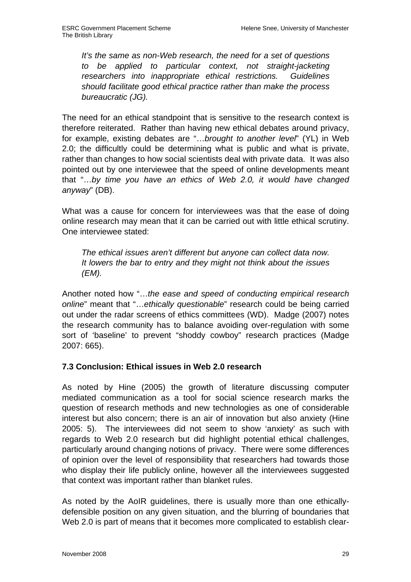It's the same as non-Web research, the need for a set of questions to be applied to particular context, not straight-jacketing researchers into inappropriate ethical restrictions. Guidelines should facilitate good ethical practice rather than make the process bureaucratic (JG).

The need for an ethical standpoint that is sensitive to the research context is therefore reiterated. Rather than having new ethical debates around privacy, for example, existing debates are "...brought to another level" (YL) in Web 2.0; the difficultly could be determining what is public and what is private, rather than changes to how social scientists deal with private data. It was also pointed out by one interviewee that the speed of online developments meant that "…by time you have an ethics of Web 2.0, it would have changed anyway" (DB).

What was a cause for concern for interviewees was that the ease of doing online research may mean that it can be carried out with little ethical scrutiny. One interviewee stated:

The ethical issues aren't different but anyone can collect data now. It lowers the bar to entry and they might not think about the issues (EM).

Another noted how "…the ease and speed of conducting empirical research online" meant that "…ethically questionable" research could be being carried out under the radar screens of ethics committees (WD). Madge (2007) notes the research community has to balance avoiding over-regulation with some sort of 'baseline' to prevent "shoddy cowboy" research practices (Madge 2007: 665).

# **7.3 Conclusion: Ethical issues in Web 2.0 research**

As noted by Hine (2005) the growth of literature discussing computer mediated communication as a tool for social science research marks the question of research methods and new technologies as one of considerable interest but also concern; there is an air of innovation but also anxiety (Hine 2005: 5). The interviewees did not seem to show 'anxiety' as such with regards to Web 2.0 research but did highlight potential ethical challenges, particularly around changing notions of privacy. There were some differences of opinion over the level of responsibility that researchers had towards those who display their life publicly online, however all the interviewees suggested that context was important rather than blanket rules.

As noted by the AoIR guidelines, there is usually more than one ethicallydefensible position on any given situation, and the blurring of boundaries that Web 2.0 is part of means that it becomes more complicated to establish clear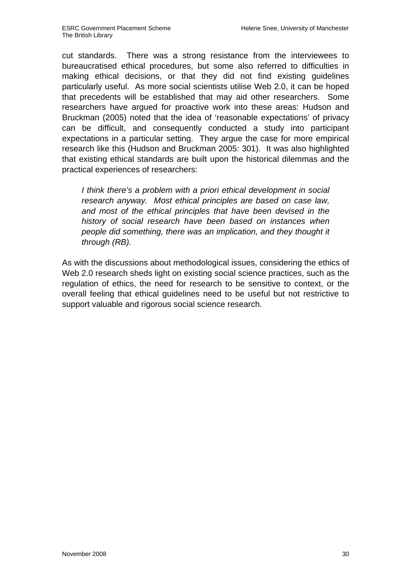cut standards. There was a strong resistance from the interviewees to bureaucratised ethical procedures, but some also referred to difficulties in making ethical decisions, or that they did not find existing guidelines particularly useful. As more social scientists utilise Web 2.0, it can be hoped that precedents will be established that may aid other researchers. Some researchers have argued for proactive work into these areas: Hudson and Bruckman (2005) noted that the idea of 'reasonable expectations' of privacy can be difficult, and consequently conducted a study into participant expectations in a particular setting. They argue the case for more empirical research like this (Hudson and Bruckman 2005: 301). It was also highlighted that existing ethical standards are built upon the historical dilemmas and the practical experiences of researchers:

I think there's a problem with a priori ethical development in social research anyway. Most ethical principles are based on case law, and most of the ethical principles that have been devised in the history of social research have been based on instances when people did something, there was an implication, and they thought it through (RB).

As with the discussions about methodological issues, considering the ethics of Web 2.0 research sheds light on existing social science practices, such as the regulation of ethics, the need for research to be sensitive to context, or the overall feeling that ethical guidelines need to be useful but not restrictive to support valuable and rigorous social science research.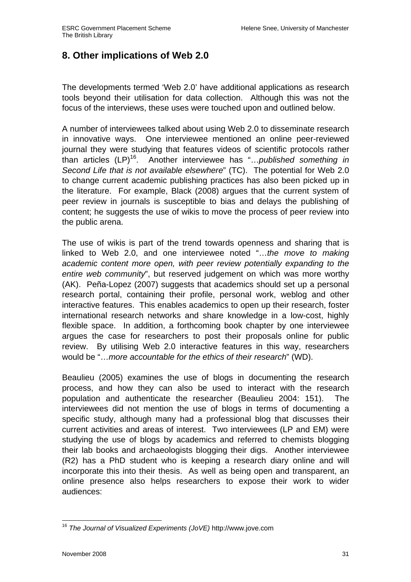# **8. Other implications of Web 2.0**

The developments termed 'Web 2.0' have additional applications as research tools beyond their utilisation for data collection. Although this was not the focus of the interviews, these uses were touched upon and outlined below.

A number of interviewees talked about using Web 2.0 to disseminate research in innovative ways. One interviewee mentioned an online peer-reviewed journal they were studying that features videos of scientific protocols rather than articles (LP)<sup>16</sup>. Another interviewee has "... *published something in* Second Life that is not available elsewhere" (TC). The potential for Web 2.0 to change current academic publishing practices has also been picked up in the literature. For example, Black (2008) argues that the current system of peer review in journals is susceptible to bias and delays the publishing of content; he suggests the use of wikis to move the process of peer review into the public arena.

The use of wikis is part of the trend towards openness and sharing that is linked to Web 2.0, and one interviewee noted "…the move to making academic content more open, with peer review potentially expanding to the entire web community", but reserved judgement on which was more worthy (AK). Peña-Lopez (2007) suggests that academics should set up a personal research portal, containing their profile, personal work, weblog and other interactive features. This enables academics to open up their research, foster international research networks and share knowledge in a low-cost, highly flexible space. In addition, a forthcoming book chapter by one interviewee argues the case for researchers to post their proposals online for public review. By utilising Web 2.0 interactive features in this way, researchers would be "…more accountable for the ethics of their research" (WD).

Beaulieu (2005) examines the use of blogs in documenting the research process, and how they can also be used to interact with the research population and authenticate the researcher (Beaulieu 2004: 151). The interviewees did not mention the use of blogs in terms of documenting a specific study, although many had a professional blog that discusses their current activities and areas of interest. Two interviewees (LP and EM) were studying the use of blogs by academics and referred to chemists blogging their lab books and archaeologists blogging their digs. Another interviewee (R2) has a PhD student who is keeping a research diary online and will incorporate this into their thesis. As well as being open and transparent, an online presence also helps researchers to expose their work to wider audiences:

 $\overline{\phantom{a}}$  $16$  The Journal of Visualized Experiments (JoVE) http://www.jove.com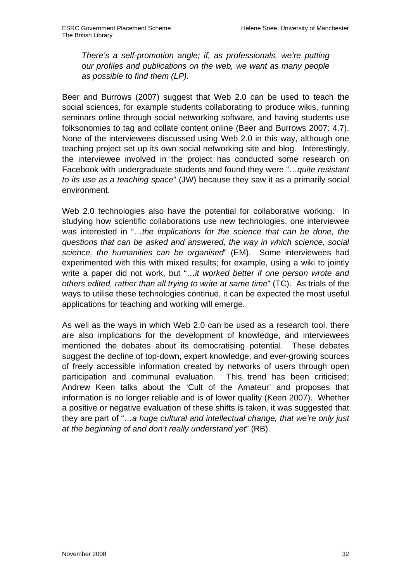There's a self-promotion angle; if, as professionals, we're putting our profiles and publications on the web, we want as many people as possible to find them (LP).

Beer and Burrows (2007) suggest that Web 2.0 can be used to teach the social sciences, for example students collaborating to produce wikis, running seminars online through social networking software, and having students use folksonomies to tag and collate content online (Beer and Burrows 2007: 4.7). None of the interviewees discussed using Web 2.0 in this way, although one teaching project set up its own social networking site and blog. Interestingly, the interviewee involved in the project has conducted some research on Facebook with undergraduate students and found they were "... quite resistant to its use as a teaching space" (JW) because they saw it as a primarily social environment.

Web 2.0 technologies also have the potential for collaborative working. In studying how scientific collaborations use new technologies, one interviewee was interested in "...the implications for the science that can be done, the questions that can be asked and answered, the way in which science, social science, the humanities can be organised" (EM). Some interviewees had experimented with this with mixed results; for example, using a wiki to jointly write a paper did not work, but "...it worked better if one person wrote and others edited, rather than all trying to write at same time" (TC). As trials of the ways to utilise these technologies continue, it can be expected the most useful applications for teaching and working will emerge.

As well as the ways in which Web 2.0 can be used as a research tool, there are also implications for the development of knowledge, and interviewees mentioned the debates about its democratising potential. These debates suggest the decline of top-down, expert knowledge, and ever-growing sources of freely accessible information created by networks of users through open participation and communal evaluation. This trend has been criticised; Andrew Keen talks about the 'Cult of the Amateur' and proposes that information is no longer reliable and is of lower quality (Keen 2007). Whether a positive or negative evaluation of these shifts is taken, it was suggested that they are part of "…a huge cultural and intellectual change, that we're only just at the beginning of and don't really understand yet" (RB).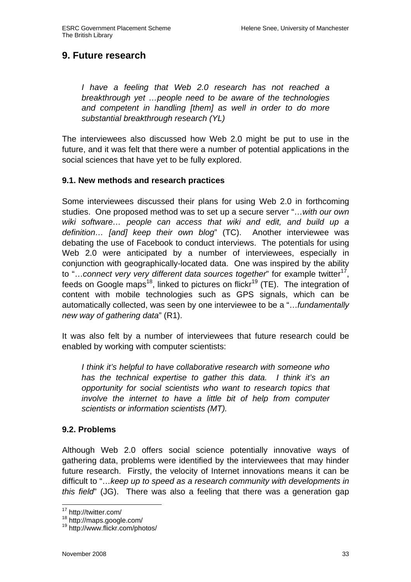# **9. Future research**

I have a feeling that Web 2.0 research has not reached a breakthrough yet …people need to be aware of the technologies and competent in handling [them] as well in order to do more substantial breakthrough research (YL)

The interviewees also discussed how Web 2.0 might be put to use in the future, and it was felt that there were a number of potential applications in the social sciences that have yet to be fully explored.

## **9.1. New methods and research practices**

Some interviewees discussed their plans for using Web 2.0 in forthcoming studies. One proposed method was to set up a secure server "…with our own wiki software… people can access that wiki and edit, and build up a definition... [and] keep their own blog" (TC). Another interviewee was debating the use of Facebook to conduct interviews. The potentials for using Web 2.0 were anticipated by a number of interviewees, especially in conjunction with geographically-located data. One was inspired by the ability to "...connect very very different data sources together" for example twitter $^{17}$ , feeds on Google maps<sup>18</sup>, linked to pictures on flickr<sup>19</sup> (TE). The integration of content with mobile technologies such as GPS signals, which can be automatically collected, was seen by one interviewee to be a "…fundamentally new way of gathering data" (R1).

It was also felt by a number of interviewees that future research could be enabled by working with computer scientists:

I think it's helpful to have collaborative research with someone who has the technical expertise to gather this data. I think it's an opportunity for social scientists who want to research topics that involve the internet to have a little bit of help from computer scientists or information scientists (MT).

## **9.2. Problems**

Although Web 2.0 offers social science potentially innovative ways of gathering data, problems were identified by the interviewees that may hinder future research. Firstly, the velocity of Internet innovations means it can be difficult to "…keep up to speed as a research community with developments in this field" (JG). There was also a feeling that there was a generation gap

 $\overline{\phantom{a}}$ <sup>17</sup> http://twitter.com/

<sup>18</sup> http://maps.google.com/

<sup>19</sup> http://www.flickr.com/photos/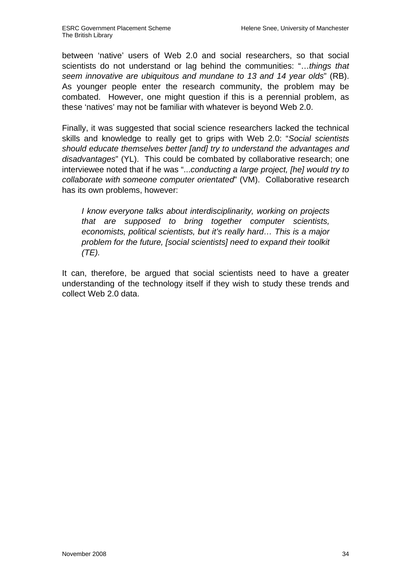between 'native' users of Web 2.0 and social researchers, so that social scientists do not understand or lag behind the communities: "...things that seem innovative are ubiquitous and mundane to 13 and 14 year olds" (RB). As younger people enter the research community, the problem may be combated. However, one might question if this is a perennial problem, as these 'natives' may not be familiar with whatever is beyond Web 2.0.

Finally, it was suggested that social science researchers lacked the technical skills and knowledge to really get to grips with Web 2.0: "Social scientists should educate themselves better [and] try to understand the advantages and disadvantages" (YL). This could be combated by collaborative research; one interviewee noted that if he was "...conducting a large project, [he] would try to collaborate with someone computer orientated" (VM). Collaborative research has its own problems, however:

I know everyone talks about interdisciplinarity, working on projects that are supposed to bring together computer scientists, economists, political scientists, but it's really hard… This is a major problem for the future, [social scientists] need to expand their toolkit (TE).

It can, therefore, be argued that social scientists need to have a greater understanding of the technology itself if they wish to study these trends and collect Web 2.0 data.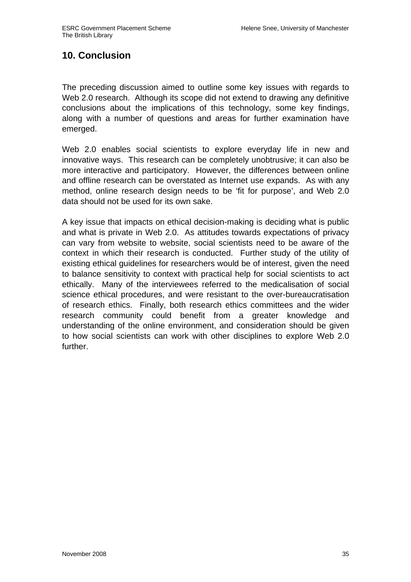# **10. Conclusion**

The preceding discussion aimed to outline some key issues with regards to Web 2.0 research. Although its scope did not extend to drawing any definitive conclusions about the implications of this technology, some key findings, along with a number of questions and areas for further examination have emerged.

Web 2.0 enables social scientists to explore everyday life in new and innovative ways. This research can be completely unobtrusive; it can also be more interactive and participatory. However, the differences between online and offline research can be overstated as Internet use expands. As with any method, online research design needs to be 'fit for purpose', and Web 2.0 data should not be used for its own sake.

A key issue that impacts on ethical decision-making is deciding what is public and what is private in Web 2.0. As attitudes towards expectations of privacy can vary from website to website, social scientists need to be aware of the context in which their research is conducted. Further study of the utility of existing ethical guidelines for researchers would be of interest, given the need to balance sensitivity to context with practical help for social scientists to act ethically. Many of the interviewees referred to the medicalisation of social science ethical procedures, and were resistant to the over-bureaucratisation of research ethics. Finally, both research ethics committees and the wider research community could benefit from a greater knowledge and understanding of the online environment, and consideration should be given to how social scientists can work with other disciplines to explore Web 2.0 further.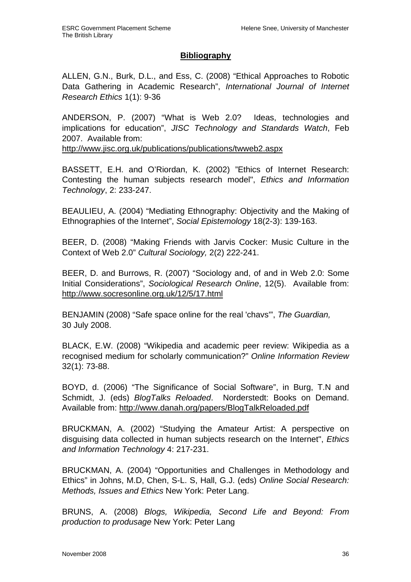#### **Bibliography**

ALLEN, G.N., Burk, D.L., and Ess, C. (2008) "Ethical Approaches to Robotic Data Gathering in Academic Research", International Journal of Internet Research Ethics 1(1): 9-36

ANDERSON, P. (2007) "What is Web 2.0? Ideas, technologies and implications for education", JISC Technology and Standards Watch, Feb 2007. Available from:

http://www.jisc.org.uk/publications/publications/twweb2.aspx

BASSETT, E.H. and O'Riordan, K. (2002) "Ethics of Internet Research: Contesting the human subjects research model", Ethics and Information Technology, 2: 233-247.

BEAULIEU, A. (2004) "Mediating Ethnography: Objectivity and the Making of Ethnographies of the Internet", Social Epistemology 18(2-3): 139-163.

BEER, D. (2008) "Making Friends with Jarvis Cocker: Music Culture in the Context of Web 2.0" Cultural Sociology, 2(2) 222-241.

BEER, D. and Burrows, R. (2007) "Sociology and, of and in Web 2.0: Some Initial Considerations", Sociological Research Online, 12(5). Available from: http://www.socresonline.org.uk/12/5/17.html

BENJAMIN (2008) "Safe space online for the real 'chavs'", The Guardian, 30 July 2008.

BLACK, E.W. (2008) "Wikipedia and academic peer review: Wikipedia as a recognised medium for scholarly communication?" Online Information Review 32(1): 73-88.

BOYD, d. (2006) "The Significance of Social Software", in Burg, T.N and Schmidt, J. (eds) BlogTalks Reloaded. Norderstedt: Books on Demand. Available from: http://www.danah.org/papers/BlogTalkReloaded.pdf

BRUCKMAN, A. (2002) "Studying the Amateur Artist: A perspective on disguising data collected in human subjects research on the Internet", Ethics and Information Technology 4: 217-231.

BRUCKMAN, A. (2004) "Opportunities and Challenges in Methodology and Ethics" in Johns, M.D, Chen, S-L. S, Hall, G.J. (eds) Online Social Research: Methods, Issues and Ethics New York: Peter Lang.

BRUNS, A. (2008) Blogs, Wikipedia, Second Life and Beyond: From production to produsage New York: Peter Lang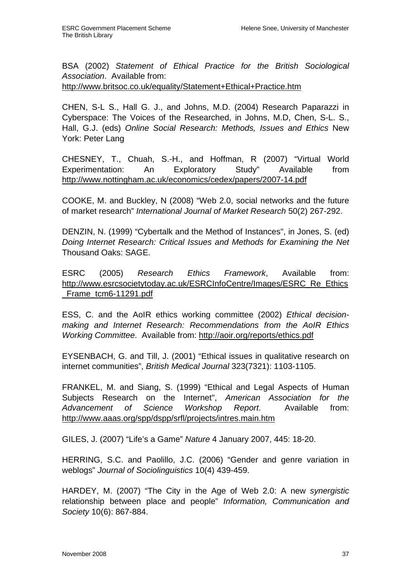BSA (2002) Statement of Ethical Practice for the British Sociological Association. Available from:

http://www.britsoc.co.uk/equality/Statement+Ethical+Practice.htm

CHEN, S-L S., Hall G. J., and Johns, M.D. (2004) Research Paparazzi in Cyberspace: The Voices of the Researched, in Johns, M.D, Chen, S-L. S., Hall, G.J. (eds) Online Social Research: Methods, Issues and Ethics New York: Peter Lang

CHESNEY, T., Chuah, S.-H., and Hoffman, R (2007) "Virtual World Experimentation: An Exploratory Study" Available from http://www.nottingham.ac.uk/economics/cedex/papers/2007-14.pdf

COOKE, M. and Buckley, N (2008) "Web 2.0, social networks and the future of market research" International Journal of Market Research 50(2) 267-292.

DENZIN, N. (1999) "Cybertalk and the Method of Instances", in Jones, S. (ed) Doing Internet Research: Critical Issues and Methods for Examining the Net Thousand Oaks: SAGE.

ESRC (2005) Research Ethics Framework, Available from: http://www.esrcsocietytoday.ac.uk/ESRCInfoCentre/Images/ESRC\_Re\_Ethics \_Frame\_tcm6-11291.pdf

ESS, C. and the AoIR ethics working committee (2002) Ethical decisionmaking and Internet Research: Recommendations from the AoIR Ethics Working Committee. Available from: http://aoir.org/reports/ethics.pdf

EYSENBACH, G. and Till, J. (2001) "Ethical issues in qualitative research on internet communities", British Medical Journal 323(7321): 1103-1105.

FRANKEL, M. and Siang, S. (1999) "Ethical and Legal Aspects of Human Subjects Research on the Internet", American Association for the Advancement of Science Workshop Report. Available from: http://www.aaas.org/spp/dspp/srfl/projects/intres.main.htm

GILES, J. (2007) "Life's a Game" Nature 4 January 2007, 445: 18-20.

HERRING, S.C. and Paolillo, J.C. (2006) "Gender and genre variation in weblogs" Journal of Sociolinguistics 10(4) 439-459.

HARDEY, M. (2007) "The City in the Age of Web 2.0: A new synergistic relationship between place and people" Information, Communication and Society 10(6): 867-884.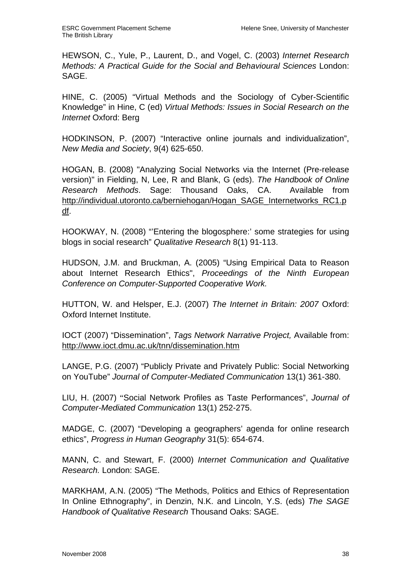HEWSON, C., Yule, P., Laurent, D., and Vogel, C. (2003) Internet Research Methods: A Practical Guide for the Social and Behavioural Sciences London: SAGE.

HINE, C. (2005) "Virtual Methods and the Sociology of Cyber-Scientific Knowledge" in Hine, C (ed) Virtual Methods: Issues in Social Research on the Internet Oxford: Berg

HODKINSON, P. (2007) "Interactive online journals and individualization", New Media and Society, 9(4) 625-650.

HOGAN, B. (2008) "Analyzing Social Networks via the Internet (Pre-release version)" in Fielding, N, Lee, R and Blank, G (eds). The Handbook of Online Research Methods. Sage: Thousand Oaks, CA. Available from http://individual.utoronto.ca/berniehogan/Hogan\_SAGE\_Internetworks\_RC1.p df.

HOOKWAY, N. (2008) "'Entering the blogosphere:' some strategies for using blogs in social research" Qualitative Research 8(1) 91-113.

HUDSON, J.M. and Bruckman, A. (2005) "Using Empirical Data to Reason about Internet Research Ethics", Proceedings of the Ninth European Conference on Computer-Supported Cooperative Work.

HUTTON, W. and Helsper, E.J. (2007) The Internet in Britain: 2007 Oxford: Oxford Internet Institute.

IOCT (2007) "Dissemination", Tags Network Narrative Project, Available from: http://www.ioct.dmu.ac.uk/tnn/dissemination.htm

LANGE, P.G. (2007) "Publicly Private and Privately Public: Social Networking on YouTube" Journal of Computer-Mediated Communication 13(1) 361-380.

LIU, H. (2007) "Social Network Profiles as Taste Performances", Journal of Computer-Mediated Communication 13(1) 252-275.

MADGE, C. (2007) "Developing a geographers' agenda for online research ethics", Progress in Human Geography 31(5): 654-674.

MANN, C. and Stewart, F. (2000) Internet Communication and Qualitative Research. London: SAGE.

MARKHAM, A.N. (2005) "The Methods, Politics and Ethics of Representation In Online Ethnography", in Denzin, N.K. and Lincoln, Y.S. (eds) The SAGE Handbook of Qualitative Research Thousand Oaks: SAGE.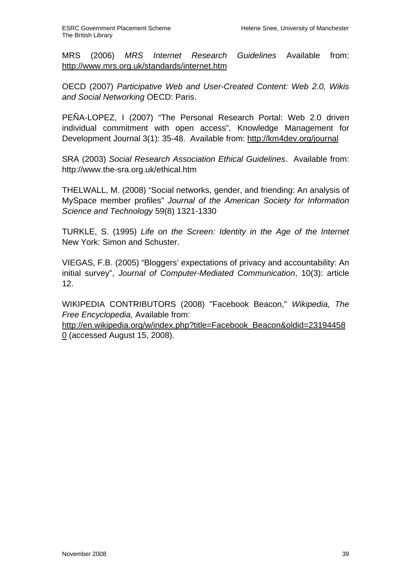MRS (2006) MRS Internet Research Guidelines Available from: http://www.mrs.org.uk/standards/internet.htm

OECD (2007) Participative Web and User-Created Content: Web 2.0, Wikis and Social Networking OECD: Paris.

PEÑA-LOPEZ, I (2007) "The Personal Research Portal: Web 2.0 driven individual commitment with open access", Knowledge Management for Development Journal 3(1): 35-48. Available from: http://km4dev.org/journal

SRA (2003) Social Research Association Ethical Guidelines. Available from: http://www.the-sra.org.uk/ethical.htm

THELWALL, M. (2008) "Social networks, gender, and friending: An analysis of MySpace member profiles" Journal of the American Society for Information Science and Technology 59(8) 1321-1330

TURKLE, S. (1995) Life on the Screen: Identity in the Age of the Internet New York: Simon and Schuster.

VIEGAS, F.B. (2005) "Bloggers' expectations of privacy and accountability: An initial survey", Journal of Computer-Mediated Communication, 10(3): article 12.

WIKIPEDIA CONTRIBUTORS (2008) "Facebook Beacon," Wikipedia, The Free Encyclopedia, Available from:

http://en.wikipedia.org/w/index.php?title=Facebook\_Beacon&oldid=23194458  $0$  (accessed August 15, 2008).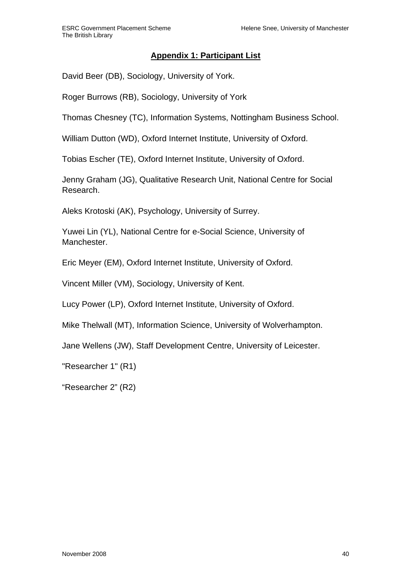# **Appendix 1: Participant List**

David Beer (DB), Sociology, University of York.

Roger Burrows (RB), Sociology, University of York

Thomas Chesney (TC), Information Systems, Nottingham Business School.

William Dutton (WD), Oxford Internet Institute, University of Oxford.

Tobias Escher (TE), Oxford Internet Institute, University of Oxford.

Jenny Graham (JG), Qualitative Research Unit, National Centre for Social Research.

Aleks Krotoski (AK), Psychology, University of Surrey.

Yuwei Lin (YL), National Centre for e-Social Science, University of Manchester.

Eric Meyer (EM), Oxford Internet Institute, University of Oxford.

Vincent Miller (VM), Sociology, University of Kent.

Lucy Power (LP), Oxford Internet Institute, University of Oxford.

Mike Thelwall (MT), Information Science, University of Wolverhampton.

Jane Wellens (JW), Staff Development Centre, University of Leicester.

"Researcher 1" (R1)

"Researcher 2" (R2)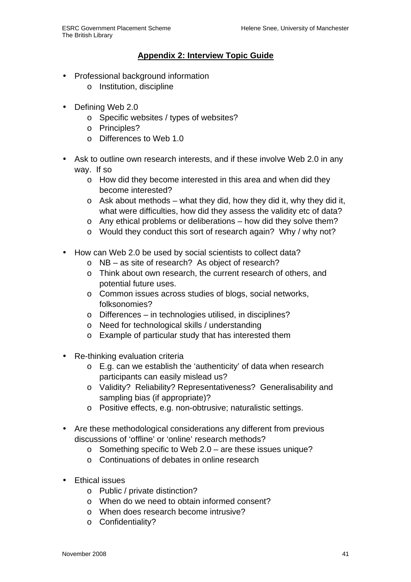## **Appendix 2: Interview Topic Guide**

- Professional background information
	- o Institution, discipline
- Defining Web 2.0
	- o Specific websites / types of websites?
	- o Principles?
	- o Differences to Web 1.0
- Ask to outline own research interests, and if these involve Web 2.0 in any way. If so
	- o How did they become interested in this area and when did they become interested?
	- $\circ$  Ask about methods what they did, how they did it, why they did it, what were difficulties, how did they assess the validity etc of data?
	- o Any ethical problems or deliberations how did they solve them?
	- o Would they conduct this sort of research again? Why / why not?
- How can Web 2.0 be used by social scientists to collect data?
	- o NB as site of research? As object of research?
	- o Think about own research, the current research of others, and potential future uses.
	- o Common issues across studies of blogs, social networks, folksonomies?
	- o Differences in technologies utilised, in disciplines?
	- o Need for technological skills / understanding
	- o Example of particular study that has interested them
- Re-thinking evaluation criteria
	- o E.g. can we establish the 'authenticity' of data when research participants can easily mislead us?
	- o Validity? Reliability? Representativeness? Generalisability and sampling bias (if appropriate)?
	- o Positive effects, e.g. non-obtrusive; naturalistic settings.
- Are these methodological considerations any different from previous discussions of 'offline' or 'online' research methods?
	- o Something specific to Web 2.0 are these issues unique?
	- o Continuations of debates in online research
- Ethical issues
	- o Public / private distinction?
	- o When do we need to obtain informed consent?
	- o When does research become intrusive?
	- o Confidentiality?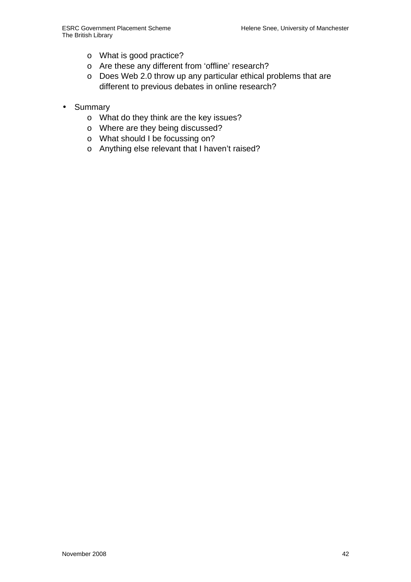- o What is good practice?
- o Are these any different from 'offline' research?
- o Does Web 2.0 throw up any particular ethical problems that are different to previous debates in online research?
- Summary
	- o What do they think are the key issues?
	- o Where are they being discussed?
	- o What should I be focussing on?
	- o Anything else relevant that I haven't raised?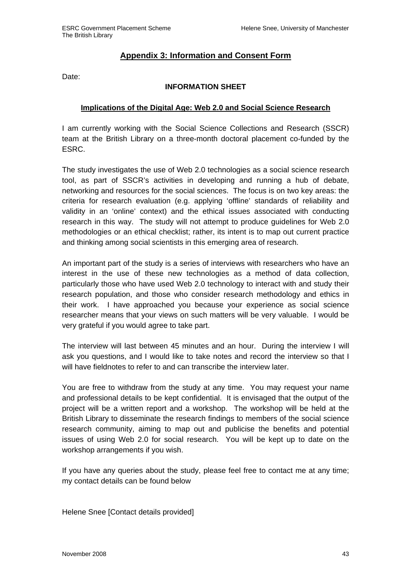#### **Appendix 3: Information and Consent Form**

Date:

#### **INFORMATION SHEET**

#### **Implications of the Digital Age: Web 2.0 and Social Science Research**

I am currently working with the Social Science Collections and Research (SSCR) team at the British Library on a three-month doctoral placement co-funded by the ESRC.

The study investigates the use of Web 2.0 technologies as a social science research tool, as part of SSCR's activities in developing and running a hub of debate, networking and resources for the social sciences. The focus is on two key areas: the criteria for research evaluation (e.g. applying 'offline' standards of reliability and validity in an 'online' context) and the ethical issues associated with conducting research in this way. The study will not attempt to produce guidelines for Web 2.0 methodologies or an ethical checklist; rather, its intent is to map out current practice and thinking among social scientists in this emerging area of research.

An important part of the study is a series of interviews with researchers who have an interest in the use of these new technologies as a method of data collection, particularly those who have used Web 2.0 technology to interact with and study their research population, and those who consider research methodology and ethics in their work. I have approached you because your experience as social science researcher means that your views on such matters will be very valuable. I would be very grateful if you would agree to take part.

The interview will last between 45 minutes and an hour. During the interview I will ask you questions, and I would like to take notes and record the interview so that I will have fieldnotes to refer to and can transcribe the interview later.

You are free to withdraw from the study at any time. You may request your name and professional details to be kept confidential. It is envisaged that the output of the project will be a written report and a workshop. The workshop will be held at the British Library to disseminate the research findings to members of the social science research community, aiming to map out and publicise the benefits and potential issues of using Web 2.0 for social research. You will be kept up to date on the workshop arrangements if you wish.

If you have any queries about the study, please feel free to contact me at any time; my contact details can be found below

Helene Snee [Contact details provided]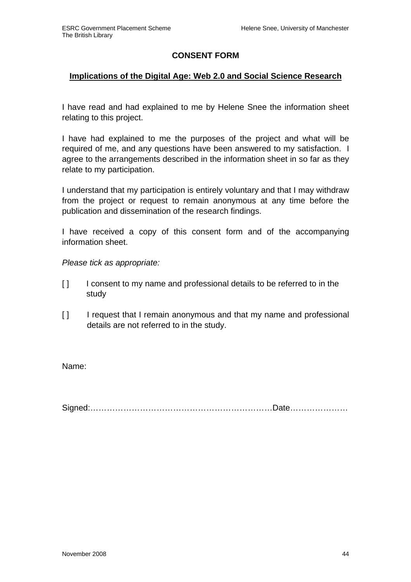## **CONSENT FORM**

## **Implications of the Digital Age: Web 2.0 and Social Science Research**

I have read and had explained to me by Helene Snee the information sheet relating to this project.

I have had explained to me the purposes of the project and what will be required of me, and any questions have been answered to my satisfaction. I agree to the arrangements described in the information sheet in so far as they relate to my participation.

I understand that my participation is entirely voluntary and that I may withdraw from the project or request to remain anonymous at any time before the publication and dissemination of the research findings.

I have received a copy of this consent form and of the accompanying information sheet.

Please tick as appropriate:

- [ ] I consent to my name and professional details to be referred to in the study
- [ ] I request that I remain anonymous and that my name and professional details are not referred to in the study.

Name:

Signed:…………………………………………………………Date…………………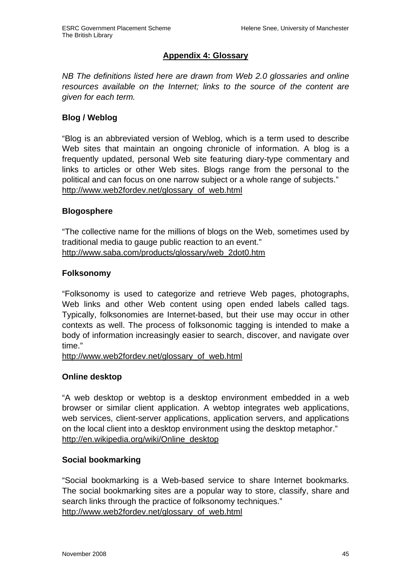## **Appendix 4: Glossary**

NB The definitions listed here are drawn from Web 2.0 glossaries and online resources available on the Internet; links to the source of the content are given for each term.

## **Blog / Weblog**

"Blog is an abbreviated version of Weblog, which is a term used to describe Web sites that maintain an ongoing chronicle of information. A blog is a frequently updated, personal Web site featuring diary-type commentary and links to articles or other Web sites. Blogs range from the personal to the political and can focus on one narrow subject or a whole range of subjects." http://www.web2fordev.net/glossary\_of\_web.html

#### **Blogosphere**

"The collective name for the millions of blogs on the Web, sometimes used by traditional media to gauge public reaction to an event." http://www.saba.com/products/glossary/web\_2dot0.htm

#### **Folksonomy**

"Folksonomy is used to categorize and retrieve Web pages, photographs, Web links and other Web content using open ended labels called tags. Typically, folksonomies are Internet-based, but their use may occur in other contexts as well. The process of folksonomic tagging is intended to make a body of information increasingly easier to search, discover, and navigate over time."

http://www.web2fordev.net/glossary\_of\_web.html

## **Online desktop**

"A web desktop or webtop is a desktop environment embedded in a web browser or similar client application. A webtop integrates web applications, web services, client-server applications, application servers, and applications on the local client into a desktop environment using the desktop metaphor." http://en.wikipedia.org/wiki/Online\_desktop

## **Social bookmarking**

"Social bookmarking is a Web-based service to share Internet bookmarks. The social bookmarking sites are a popular way to store, classify, share and search links through the practice of folksonomy techniques." http://www.web2fordev.net/glossary\_of\_web.html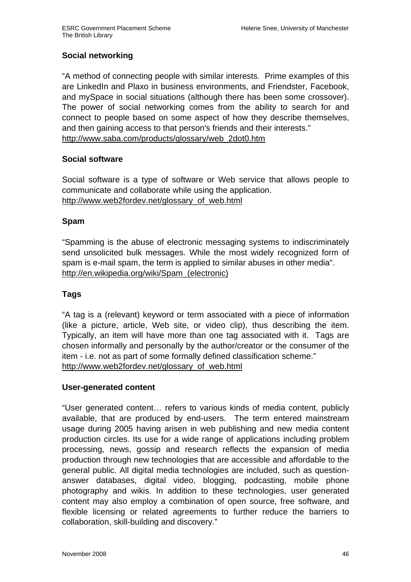## **Social networking**

"A method of connecting people with similar interests. Prime examples of this are LinkedIn and Plaxo in business environments, and Friendster, Facebook, and mySpace in social situations (although there has been some crossover). The power of social networking comes from the ability to search for and connect to people based on some aspect of how they describe themselves, and then gaining access to that person's friends and their interests." http://www.saba.com/products/glossary/web\_2dot0.htm

## **Social software**

Social software is a type of software or Web service that allows people to communicate and collaborate while using the application. http://www.web2fordev.net/glossary\_of\_web.html

#### **Spam**

"Spamming is the abuse of electronic messaging systems to indiscriminately send unsolicited bulk messages. While the most widely recognized form of spam is e-mail spam, the term is applied to similar abuses in other media". http://en.wikipedia.org/wiki/Spam\_(electronic)

## **Tags**

"A tag is a (relevant) keyword or term associated with a piece of information (like a picture, article, Web site, or video clip), thus describing the item. Typically, an item will have more than one tag associated with it. Tags are chosen informally and personally by the author/creator or the consumer of the item - i.e. not as part of some formally defined classification scheme." http://www.web2fordev.net/glossary\_of\_web.html

## **User-generated content**

"User generated content… refers to various kinds of media content, publicly available, that are produced by end-users. The term entered mainstream usage during 2005 having arisen in web publishing and new media content production circles. Its use for a wide range of applications including problem processing, news, gossip and research reflects the expansion of media production through new technologies that are accessible and affordable to the general public. All digital media technologies are included, such as questionanswer databases, digital video, blogging, podcasting, mobile phone photography and wikis. In addition to these technologies, user generated content may also employ a combination of open source, free software, and flexible licensing or related agreements to further reduce the barriers to collaboration, skill-building and discovery."